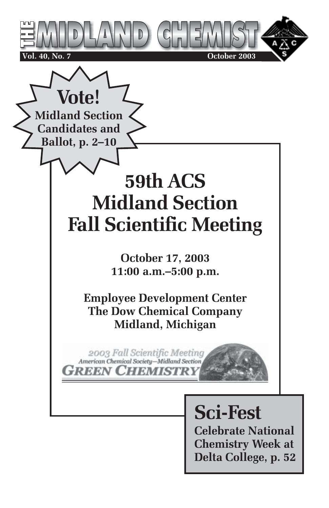

**Chemistry Week at Delta College, p. 52**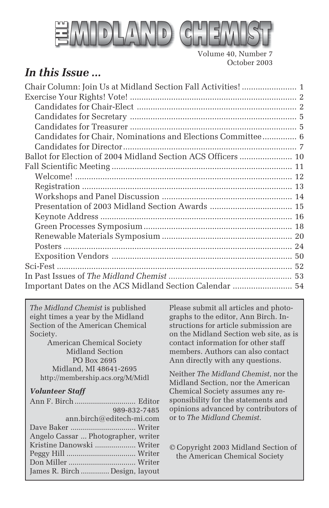

Volume 40, Number 7 October 2003

# *In this Issue ...*

*The Midland Chemist* is published eight times a year by the Midland Section of the American Chemical Society.

American Chemical Society Midland Section PO Box 2695 Midland, MI 48641-2695 http://membership.acs.org/M/Midl

#### *Volunteer Staff*

| 989-832-7485                        |  |
|-------------------------------------|--|
| ann.birch@editech-mi.com            |  |
|                                     |  |
| Angelo Cassar  Photographer, writer |  |
| Kristine Danowski  Writer           |  |
|                                     |  |
|                                     |  |
| James R. Birch  Design, layout      |  |

Please submit all articles and photographs to the editor, Ann Birch. Instructions for article submission are on the Midland Section web site, as is contact information for other staff members. Authors can also contact Ann directly with any questions.

Neither *The Midland Chemist*, nor the Midland Section, nor the American Chemical Society assumes any responsibility for the statements and opinions advanced by contributors of or to *The Midland Chemist*.

© Copyright 2003 Midland Section of the American Chemical Society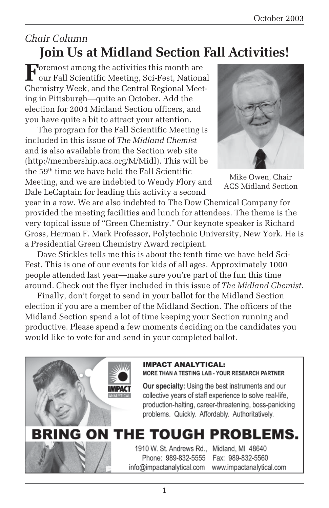### *Chair Column* **Join Us at Midland Section Fall Activities!**

**F**oremost among the activities this month are<br>our Fall Scientific Meeting, Sci-Fest, National Chemistry Week, and the Central Regional Meeting in Pittsburgh—quite an October. Add the election for 2004 Midland Section officers, and you have quite a bit to attract your attention.

The program for the Fall Scientific Meeting is included in this issue of *The Midland Chemist* and is also available from the Section web site (http://membership.acs.org/M/Midl). This will be the 59th time we have held the Fall Scientific Meeting, and we are indebted to Wendy Flory and Dale LeCaptain for leading this activity a second



Mike Owen, Chair ACS Midland Section

year in a row. We are also indebted to The Dow Chemical Company for provided the meeting facilities and lunch for attendees. The theme is the very topical issue of "Green Chemistry." Our keynote speaker is Richard Gross, Herman F. Mark Professor, Polytechnic University, New York. He is a Presidential Green Chemistry Award recipient.

Dave Stickles tells me this is about the tenth time we have held Sci-Fest. This is one of our events for kids of all ages. Approximately 1000 people attended last year—make sure you're part of the fun this time around. Check out the flyer included in this issue of *The Midland Chemist*.

Finally, don't forget to send in your ballot for the Midland Section election if you are a member of the Midland Section. The officers of the Midland Section spend a lot of time keeping your Section running and productive. Please spend a few moments deciding on the candidates you would like to vote for and send in your completed ballot.

#### **IMPACT ANALYTICAL:**

MORE THAN A TESTING LAB - YOUR RESEARCH PARTNER

**Our specialty:** Using the best instruments and our collective years of staff experience to solve real-life, production-halting, career-threatening, boss-panicking problems. Quickly. Affordably. Authoritatively.

# **BRING ON THE TOUGH PROBLEMS.**

1910 W. St. Andrews Rd., Midland, MI 48640 Phone: 989-832-5555 info@impactanalytical.com

Fax: 989-832-5560 www.impactanalytical.com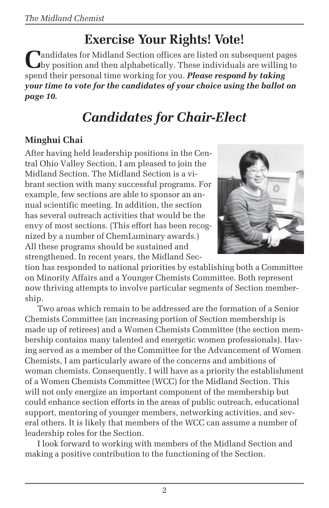# **Exercise Your Rights! Vote!**

**Pandidates for Midland Section offices are listed on subsequent pages** by position and then alphabetically. These individuals are willing to spend their personal time working for you. *Please respond by taking your time to vote for the candidates of your choice using the ballot on page 10.*

# *Candidates for Chair-Elect*

### **Minghui Chai**

After having held leadership positions in the Central Ohio Valley Section, I am pleased to join the Midland Section. The Midland Section is a vibrant section with many successful programs. For example, few sections are able to sponsor an annual scientific meeting. In addition, the section has several outreach activities that would be the envy of most sections. (This effort has been recognized by a number of ChemLuminary awards.) All these programs should be sustained and strengthened. In recent years, the Midland Sec-



tion has responded to national priorities by establishing both a Committee on Minority Affairs and a Younger Chemists Committee. Both represent now thriving attempts to involve particular segments of Section membership.

Two areas which remain to be addressed are the formation of a Senior Chemists Committee (an increasing portion of Section membership is made up of retirees) and a Women Chemists Committee (the section membership contains many talented and energetic women professionals). Having served as a member of the Committee for the Advancement of Women Chemists, I am particularly aware of the concerns and ambitions of woman chemists. Consequently, I will have as a priority the establishment of a Women Chemists Committee (WCC) for the Midland Section. This will not only energize an important component of the membership but could enhance section efforts in the areas of public outreach, educational support, mentoring of younger members, networking activities, and several others. It is likely that members of the WCC can assume a number of leadership roles for the Section.

I look forward to working with members of the Midland Section and making a positive contribution to the functioning of the Section.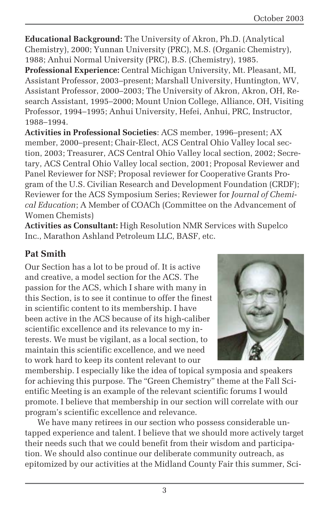**Educational Background:** The University of Akron, Ph.D. (Analytical Chemistry), 2000; Yunnan University (PRC), M.S. (Organic Chemistry), 1988; Anhui Normal University (PRC), B.S. (Chemistry), 1985.

**Professional Experience:** Central Michigan University, Mt. Pleasant, MI, Assistant Professor, 2003–present; Marshall University, Huntington, WV, Assistant Professor, 2000–2003; The University of Akron, Akron, OH, Research Assistant, 1995–2000; Mount Union College, Alliance, OH, Visiting Professor, 1994–1995; Anhui University, Hefei, Anhui, PRC, Instructor, 1988–1994.

**Activities in Professional Societies**: ACS member, 1996–present; AX member, 2000–present; Chair-Elect, ACS Central Ohio Valley local section, 2003; Treasurer, ACS Central Ohio Valley local section, 2002; Secretary, ACS Central Ohio Valley local section, 2001; Proposal Reviewer and Panel Reviewer for NSF; Proposal reviewer for Cooperative Grants Program of the U.S. Civilian Research and Development Foundation (CRDF); Reviewer for the ACS Symposium Series; Reviewer for *Journal of Chemical Education*; A Member of COACh (Committee on the Advancement of Women Chemists)

**Activities as Consultant:** High Resolution NMR Services with Supelco Inc., Marathon Ashland Petroleum LLC, BASF, etc.

### **Pat Smith**

Our Section has a lot to be proud of. It is active and creative, a model section for the ACS. The passion for the ACS, which I share with many in this Section, is to see it continue to offer the finest in scientific content to its membership. I have been active in the ACS because of its high-caliber scientific excellence and its relevance to my interests. We must be vigilant, as a local section, to maintain this scientific excellence, and we need to work hard to keep its content relevant to our



membership. I especially like the idea of topical symposia and speakers for achieving this purpose. The "Green Chemistry" theme at the Fall Scientific Meeting is an example of the relevant scientific forums I would promote. I believe that membership in our section will correlate with our program's scientific excellence and relevance.

We have many retirees in our section who possess considerable untapped experience and talent. I believe that we should more actively target their needs such that we could benefit from their wisdom and participation. We should also continue our deliberate community outreach, as epitomized by our activities at the Midland County Fair this summer, Sci-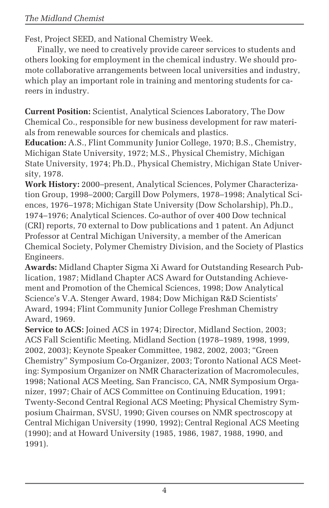### *The Midland Chemist*

Fest, Project SEED, and National Chemistry Week.

Finally, we need to creatively provide career services to students and others looking for employment in the chemical industry. We should promote collaborative arrangements between local universities and industry, which play an important role in training and mentoring students for careers in industry.

**Current Position:** Scientist, Analytical Sciences Laboratory, The Dow Chemical Co., responsible for new business development for raw materials from renewable sources for chemicals and plastics.

**Education:** A.S., Flint Community Junior College, 1970; B.S., Chemistry, Michigan State University, 1972; M.S., Physical Chemistry, Michigan State University, 1974; Ph.D., Physical Chemistry, Michigan State University, 1978.

**Work History:** 2000–present, Analytical Sciences, Polymer Characterization Group, 1998–2000; Cargill Dow Polymers, 1978–1998; Analytical Sciences, 1976–1978; Michigan State University (Dow Scholarship), Ph.D., 1974–1976; Analytical Sciences. Co-author of over 400 Dow technical (CRI) reports, 70 external to Dow publications and 1 patent. An Adjunct Professor at Central Michigan University, a member of the American Chemical Society, Polymer Chemistry Division, and the Society of Plastics Engineers.

**Awards:** Midland Chapter Sigma Xi Award for Outstanding Research Publication, 1987; Midland Chapter ACS Award for Outstanding Achievement and Promotion of the Chemical Sciences, 1998; Dow Analytical Science's V.A. Stenger Award, 1984; Dow Michigan R&D Scientists' Award, 1994; Flint Community Junior College Freshman Chemistry Award, 1969.

**Service to ACS:** Joined ACS in 1974; Director, Midland Section, 2003; ACS Fall Scientific Meeting, Midland Section (1978–1989, 1998, 1999, 2002, 2003); Keynote Speaker Committee, 1982, 2002, 2003; "Green Chemistry" Symposium Co-Organizer, 2003; Toronto National ACS Meeting: Symposium Organizer on NMR Characterization of Macromolecules, 1998; National ACS Meeting, San Francisco, CA, NMR Symposium Organizer, 1997; Chair of ACS Committee on Continuing Education, 1991; Twenty-Second Central Regional ACS Meeting; Physical Chemistry Symposium Chairman, SVSU, 1990; Given courses on NMR spectroscopy at Central Michigan University (1990, 1992); Central Regional ACS Meeting (1990); and at Howard University (1985, 1986, 1987, 1988, 1990, and 1991).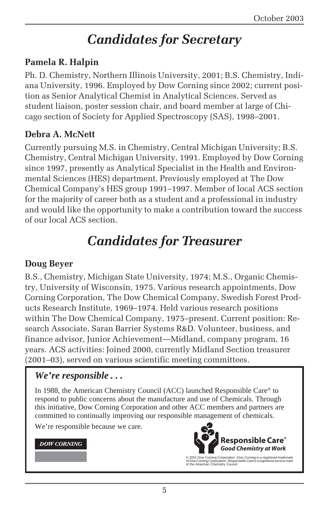# *Candidates for Secretary*

### **Pamela R. Halpin**

Ph. D. Chemistry, Northern Illinois University, 2001; B.S. Chemistry, Indiana University, 1996. Employed by Dow Corning since 2002; current position as Senior Analytical Chemist in Analytical Sciences. Served as student liaison, poster session chair, and board member at large of Chicago section of Society for Applied Spectroscopy (SAS), 1998–2001.

### **Debra A. McNett**

Currently pursuing M.S. in Chemistry, Central Michigan University; B.S. Chemistry, Central Michigan University, 1991. Employed by Dow Corning since 1997, presently as Analytical Specialist in the Health and Environmental Sciences (HES) department. Previously employed at The Dow Chemical Company's HES group 1991–1997. Member of local ACS section for the majority of career both as a student and a professional in industry and would like the opportunity to make a contribution toward the success of our local ACS section.

# *Candidates for Treasurer*

### **Doug Beyer**

B.S., Chemistry, Michigan State University, 1974; M.S., Organic Chemistry, University of Wisconsin, 1975. Various research appointments, Dow Corning Corporation, The Dow Chemical Company, Swedish Forest Products Research Institute, 1969–1974. Held various research positions within The Dow Chemical Company, 1975–present. Current position: Research Associate, Saran Barrier Systems R&D. Volunteer, business, and finance advisor, Junior Achievement—Midland, company program, 16 years. ACS activities: Joined 2000, currently Midland Section treasurer (2001–03), served on various scientific meeting committees.

### *We're responsible . . .*

In 1988, the American Chemistry Council (ACC) launched Responsible Care® to respond to public concerns about the manufacture and use of Chemicals. Through this initiative, Dow Corning Corporation and other ACC members and partners are committed to continually improving our responsible management of chemicals.

We're responsible because we care.

#### **DOW CORNING**



© 2001 Dow Corning Corporation. Dow Corning is a registered trademark of Dow Corning Corporation. Responsible Care is a registered service mark of the American Chemistry Council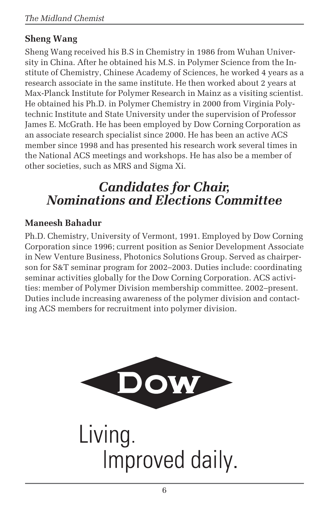### **Sheng Wang**

Sheng Wang received his B.S in Chemistry in 1986 from Wuhan University in China. After he obtained his M.S. in Polymer Science from the Institute of Chemistry, Chinese Academy of Sciences, he worked 4 years as a research associate in the same institute. He then worked about 2 years at Max-Planck Institute for Polymer Research in Mainz as a visiting scientist. He obtained his Ph.D. in Polymer Chemistry in 2000 from Virginia Polytechnic Institute and State University under the supervision of Professor James E. McGrath. He has been employed by Dow Corning Corporation as an associate research specialist since 2000. He has been an active ACS member since 1998 and has presented his research work several times in the National ACS meetings and workshops. He has also be a member of other societies, such as MRS and Sigma Xi.

# *Candidates for Chair, Nominations and Elections Committee*

### **Maneesh Bahadur**

Ph.D. Chemistry, University of Vermont, 1991. Employed by Dow Corning Corporation since 1996; current position as Senior Development Associate in New Venture Business, Photonics Solutions Group. Served as chairperson for S&T seminar program for 2002–2003. Duties include: coordinating seminar activities globally for the Dow Corning Corporation. ACS activities: member of Polymer Division membership committee. 2002–present. Duties include increasing awareness of the polymer division and contacting ACS members for recruitment into polymer division.

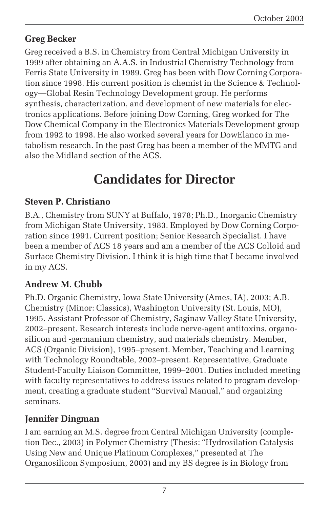### **Greg Becker**

Greg received a B.S. in Chemistry from Central Michigan University in 1999 after obtaining an A.A.S. in Industrial Chemistry Technology from Ferris State University in 1989. Greg has been with Dow Corning Corporation since 1998. His current position is chemist in the Science & Technology—Global Resin Technology Development group. He performs synthesis, characterization, and development of new materials for electronics applications. Before joining Dow Corning, Greg worked for The Dow Chemical Company in the Electronics Materials Development group from 1992 to 1998. He also worked several years for DowElanco in metabolism research. In the past Greg has been a member of the MMTG and also the Midland section of the ACS.

# **Candidates for Director**

### **Steven P. Christiano**

B.A., Chemistry from SUNY at Buffalo, 1978; Ph.D., Inorganic Chemistry from Michigan State University, 1983. Employed by Dow Corning Corporation since 1991. Current position; Senior Research Specialist. I have been a member of ACS 18 years and am a member of the ACS Colloid and Surface Chemistry Division. I think it is high time that I became involved in my ACS.

### **Andrew M. Chubb**

Ph.D. Organic Chemistry, Iowa State University (Ames, IA), 2003; A.B. Chemistry (Minor: Classics), Washington University (St. Louis, MO), 1995. Assistant Professor of Chemistry, Saginaw Valley State University, 2002–present. Research interests include nerve-agent antitoxins, organosilicon and -germanium chemistry, and materials chemistry. Member, ACS (Organic Division), 1995–present. Member, Teaching and Learning with Technology Roundtable, 2002–present. Representative, Graduate Student-Faculty Liaison Committee, 1999–2001. Duties included meeting with faculty representatives to address issues related to program development, creating a graduate student "Survival Manual," and organizing seminars.

### **Jennifer Dingman**

I am earning an M.S. degree from Central Michigan University (completion Dec., 2003) in Polymer Chemistry (Thesis: "Hydrosilation Catalysis Using New and Unique Platinum Complexes," presented at The Organosilicon Symposium, 2003) and my BS degree is in Biology from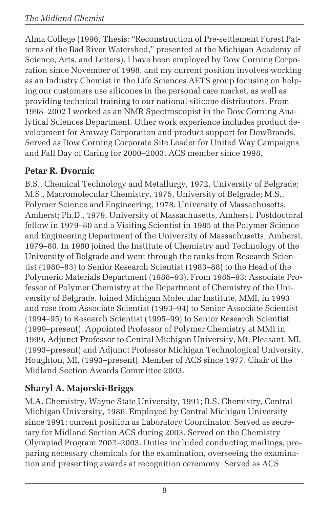Alma College (1996, Thesis: "Reconstruction of Pre-settlement Forest Patterns of the Bad River Watershed," presented at the Michigan Academy of Science, Arts, and Letters). I have been employed by Dow Corning Corporation since November of 1998, and my current position involves working as an Industry Chemist in the Life Sciences AETS group focusing on helping our customers use silicones in the personal care market, as well as providing technical training to our national silicone distributors. From 1998–2002 I worked as an NMR Spectroscopist in the Dow Corning Analytical Sciences Department. Other work experience includes product development for Amway Corporation and product support for DowBrands. Served as Dow Corning Corporate Site Leader for United Way Campaigns and Fall Day of Caring for 2000–2003. ACS member since 1998.

### **Petar R. Dvornic**

B.S., Chemical Technology and Metallurgy, 1972, University of Belgrade; M.S., Macromolecular Chemistry, 1975, University of Belgrade; M.S., Polymer Science and Engineering, 1978, University of Massachusetts, Amherst; Ph.D., 1979, University of Massachusetts, Amherst. Postdoctoral fellow in 1979–80 and a Visiting Scientist in 1985 at the Polymer Science and Engineering Department of the University of Massachusetts, Amherst, 1979–80. In 1980 joined the Institute of Chemistry and Technology of the University of Belgrade and went through the ranks from Research Scientist (1980–83) to Senior Research Scientist (1983–88) to the Head of the Polymeric Materials Department (1988–93). From 1985–93: Associate Professor of Polymer Chemistry at the Department of Chemistry of the University of Belgrade. Joined Michigan Molecular Institute, MMI, in 1993 and rose from Associate Scientist (1993–94) to Senior Associate Scientist (1994–95) to Research Scientist (1995–99) to Senior Research Scientist (1999–present). Appointed Professor of Polymer Chemistry at MMI in 1999, Adjunct Professor to Central Michigan University, Mt. Pleasant, MI, (1993–present) and Adjunct Professor Michigan Technological University, Houghton, MI, (1993–present). Member of ACS since 1977. Chair of the Midland Section Awards Committee 2003.

### **Sharyl A. Majorski-Briggs**

M.A. Chemistry, Wayne State University, 1991; B.S. Chemistry, Central Michigan University, 1986. Employed by Central Michigan University since 1991; current position as Laboratory Coordinator. Served as secretary for Midland Section ACS during 2003. Served on the Chemistry Olympiad Program 2002–2003. Duties included conducting mailings, preparing necessary chemicals for the examination, overseeing the examination and presenting awards at recognition ceremony. Served as ACS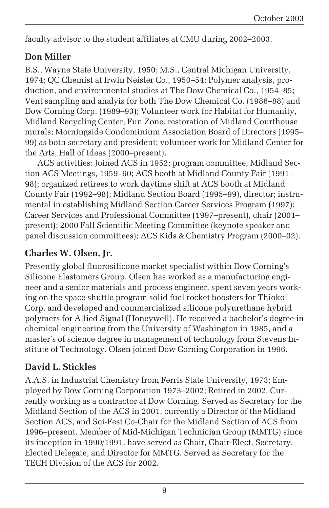faculty advisor to the student affiliates at CMU during 2002–2003.

### **Don Miller**

B.S., Wayne State University, 1950; M.S., Central Michigan University, 1974; QC Chemist at Irwin Neisler Co., 1950–54; Polymer analysis, production, and environmental studies at The Dow Chemical Co., 1954–85; Vent sampling and analyis for both The Dow Chemical Co. (1986–88) and Dow Corning Corp. (1989–93); Volunteer work for Habitat for Humanity, Midland Recycling Center, Fun Zone, restoration of Midland Courthouse murals; Morningside Condominium Association Board of Directors (1995– 99) as both secretary and president; volunteer work for Midland Center for the Arts, Hall of Ideas (2000–present).

ACS activities: Joined ACS in 1952; program committee, Midland Section ACS Meetings, 1959–60; ACS booth at Midland County Fair (1991– 98); organized retirees to work daytime shift at ACS booth at Midland County Fair (1992–98); Midland Section Board (1995–99), director; instrumental in establishing Midland Section Career Services Program (1997); Career Services and Professional Committee (1997–present), chair (2001– present); 2000 Fall Scientific Meeting Committee (keynote speaker and panel discussion committees); ACS Kids & Chemistry Program (2000–02).

### **Charles W. Olsen, Jr.**

Presently global fluorosilicone market specialist within Dow Corning's Silicone Elastomers Group. Olsen has worked as a manufacturing engineer and a senior materials and process engineer, spent seven years working on the space shuttle program solid fuel rocket boosters for Thiokol Corp. and developed and commercialized silicone polyurethane hybrid polymers for Allied Signal (Honeywell). He received a bachelor's degree in chemical engineering from the University of Washington in 1985, and a master's of science degree in management of technology from Stevens Institute of Technology. Olsen joined Dow Corning Corporation in 1996.

### **David L. Stickles**

A.A.S. in Industrial Chemistry from Ferris State University, 1973; Employed by Dow Corning Corporation 1973–2002; Retired in 2002. Currently working as a contractor at Dow Corning. Served as Secretary for the Midland Section of the ACS in 2001, currently a Director of the Midland Section ACS, and Sci-Fest Co-Chair for the Midland Section of ACS from 1996–present. Member of Mid-Michigan Technician Group (MMTG) since its inception in 1990/1991, have served as Chair, Chair-Elect, Secretary, Elected Delegate, and Director for MMTG. Served as Secretary for the TECH Division of the ACS for 2002.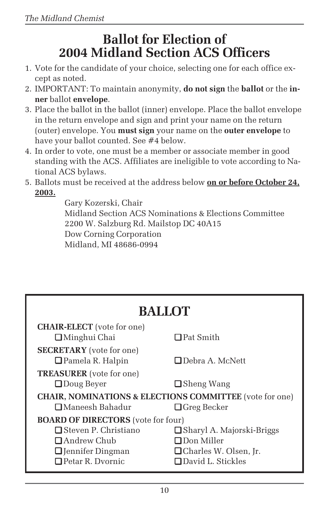# **Ballot for Election of 2004 Midland Section ACS Officers**

- 1. Vote for the candidate of your choice, selecting one for each office except as noted.
- 2. IMPORTANT: To maintain anonymity, **do not sign** the **ballot** or the **inner** ballot **envelope**.
- 3. Place the ballot in the ballot (inner) envelope. Place the ballot envelope in the return envelope and sign and print your name on the return (outer) envelope. You **must sign** your name on the **outer envelope** to have your ballot counted. See #4 below.
- 4. In order to vote, one must be a member or associate member in good standing with the ACS. Affiliates are ineligible to vote according to National ACS bylaws.
- 5. Ballots must be received at the address below **on or before October 24, 2003.**

Gary Kozerski, Chair Midland Section ACS Nominations & Elections Committee 2200 W. Salzburg Rd. Mailstop DC 40A15 Dow Corning Corporation Midland, MI 48686-0994

| <b>BALLOT</b>                                                      |                                    |  |  |
|--------------------------------------------------------------------|------------------------------------|--|--|
| <b>CHAIR-ELECT</b> (vote for one)                                  |                                    |  |  |
| <b>□</b> Minghui Chai                                              | $\Box$ Pat Smith                   |  |  |
| <b>SECRETARY</b> (vote for one)                                    |                                    |  |  |
| $\Box$ Pamela R. Halpin                                            | $\Box$ Debra A. McNett             |  |  |
| <b>TREASURER</b> (vote for one)                                    |                                    |  |  |
| $\Box$ Doug Beyer                                                  | $\Box$ Sheng Wang                  |  |  |
| <b>CHAIR, NOMINATIONS &amp; ELECTIONS COMMITTEE</b> (vote for one) |                                    |  |  |
| □ Maneesh Bahadur                                                  | $\Box$ Greg Becker                 |  |  |
| <b>BOARD OF DIRECTORS</b> (vote for four)                          |                                    |  |  |
| $\Box$ Steven P. Christiano                                        | <b>□</b> Sharyl A. Majorski-Briggs |  |  |
| $\Box$ Andrew Chub                                                 | $\Box$ Don Miller                  |  |  |
| <b>Q</b> Jennifer Dingman                                          | <b>□</b> Charles W. Olsen, Jr.     |  |  |
| $\Box$ Petar R. Dvornic                                            | <b>Q</b> David L. Stickles         |  |  |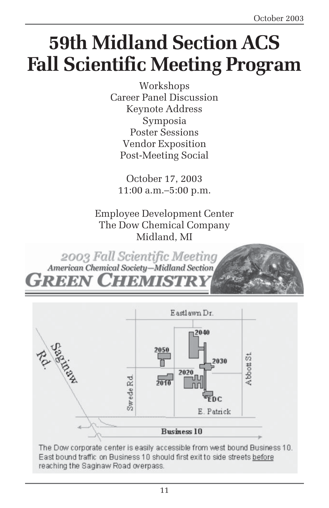# **59th Midland Section ACS Fall Scientific Meeting Program**

Workshops Career Panel Discussion Keynote Address Symposia Poster Sessions Vendor Exposition Post-Meeting Social

October 17, 2003 11:00 a.m.–5:00 p.m.

Employee Development Center The Dow Chemical Company Midland, MI

2003 Fall Scientific Meeting American Chemical Society-Midland Section reen Chemist



East bound traffic on Business 10 should first exit to side streets before reaching the Saginaw Road overpass.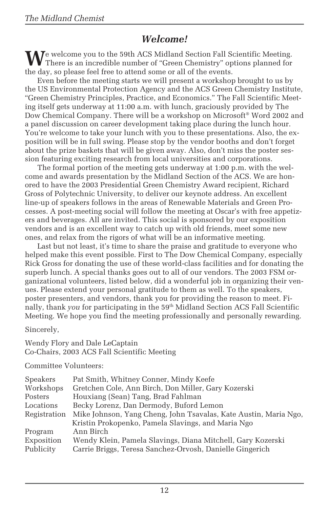### *Welcome!*

We welcome you to the 59th ACS Midland Section Fall Scientific Meeting.<br>There is an incredible number of "Green Chemistry" options planned for the day, so please feel free to attend some or all of the events.

Even before the meeting starts we will present a workshop brought to us by the US Environmental Protection Agency and the ACS Green Chemistry Institute, "Green Chemistry Principles, Practice, and Economics." The Fall Scientific Meeting itself gets underway at 11:00 a.m. with lunch, graciously provided by The Dow Chemical Company. There will be a workshop on Microsoft® Word 2002 and a panel discussion on career development taking place during the lunch hour. You're welcome to take your lunch with you to these presentations. Also, the exposition will be in full swing. Please stop by the vendor booths and don't forget about the prize baskets that will be given away. Also, don't miss the poster session featuring exciting research from local universities and corporations.

The formal portion of the meeting gets underway at 1:00 p.m. with the welcome and awards presentation by the Midland Section of the ACS. We are honored to have the 2003 Presidential Green Chemistry Award recipient, Richard Gross of Polytechnic University, to deliver our keynote address. An excellent line-up of speakers follows in the areas of Renewable Materials and Green Processes. A post-meeting social will follow the meeting at Oscar's with free appetizers and beverages. All are invited. This social is sponsored by our exposition vendors and is an excellent way to catch up with old friends, meet some new ones, and relax from the rigors of what will be an informative meeting.

Last but not least, it's time to share the praise and gratitude to everyone who helped make this event possible. First to The Dow Chemical Company, especially Rick Gross for donating the use of these world-class facilities and for donating the superb lunch. A special thanks goes out to all of our vendors. The 2003 FSM organizational volunteers, listed below, did a wonderful job in organizing their venues. Please extend your personal gratitude to them as well. To the speakers, poster presenters, and vendors, thank you for providing the reason to meet. Finally, thank *you* for participating in the 59th Midland Section ACS Fall Scientific Meeting. We hope you find the meeting professionally and personally rewarding.

Sincerely,

Wendy Flory and Dale LeCaptain Co-Chairs, 2003 ACS Fall Scientific Meeting

Committee Volunteers:

| Speakers     | Pat Smith, Whitney Conner, Mindy Keefe                           |
|--------------|------------------------------------------------------------------|
| Workshops    | Gretchen Cole, Ann Birch, Don Miller, Gary Kozerski              |
| Posters      | Houxiang (Sean) Tang, Brad Fahlman                               |
| Locations    | Becky Lorenz, Dan Dermody, Buford Lemon                          |
| Registration | Mike Johnson, Yang Cheng, John Tsavalas, Kate Austin, Maria Ngo, |
|              | Kristin Prokopenko, Pamela Slavings, and Maria Ngo               |
| Program      | Ann Birch                                                        |
| Exposition   | Wendy Klein, Pamela Slavings, Diana Mitchell, Gary Kozerski      |
| Publicity    | Carrie Briggs, Teresa Sanchez-Orvosh, Danielle Gingerich         |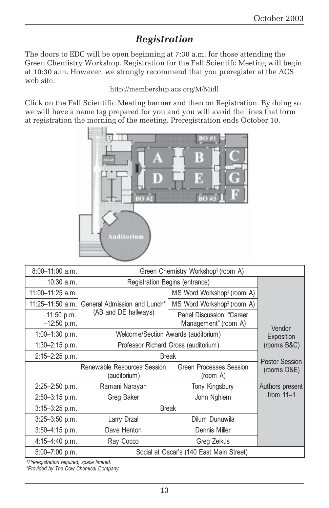### *Registration*

The doors to EDC will be open beginning at 7:30 a.m. for those attending the Green Chemistry Workshop. Registration for the Fall Scientifc Meeting will begin at 10:30 a.m. However, we strongly recommend that you preregister at the ACS web site:

#### http://membership.acs.org/M/Midl

Click on the Fall Scientific Meeting banner and then on Registration. By doing so, we will have a name tag prepared for you and you will avoid the lines that form at registration the morning of the meeting. Preregistration ends October 10.



| $8:00-11:00$ a.m.             | Green Chemistry Workshop <sup>‡</sup> (room A)                   |                                                   |                       |  |
|-------------------------------|------------------------------------------------------------------|---------------------------------------------------|-----------------------|--|
| 10:30 a.m.                    | Registration Begins (entrance)                                   |                                                   |                       |  |
| $11:00 - 11:25$ a.m.          | General Admission and Lunch <sup>*</sup><br>(AB and DE hallways) | MS Word Workshop <sup>‡</sup> (room A)            |                       |  |
| 11:25-11:50 a.m.              |                                                                  | MS Word Workshop <sup>‡</sup> (room A)            |                       |  |
| $11:50$ p.m.<br>$-12:50$ p.m. |                                                                  | Panel Discussion: "Career<br>Management" (room A) | Vendor                |  |
| $1:00-1:30$ p.m.              | Welcome/Section Awards (auditorium)                              |                                                   | Exposition            |  |
| $1:30-2:15$ p.m.              | Professor Richard Gross (auditorium)                             |                                                   | (rooms B&C)           |  |
| $2:15 - 2:25$ p.m.            | <b>Break</b>                                                     |                                                   | <b>Poster Session</b> |  |
|                               | Renewable Resources Session<br>(auditorium)                      | Green Processes Session<br>(room A)               | $(rooms\ D&E)$        |  |
| $2:25 - 2:50$ p.m.            | Ramani Narayan                                                   | Tony Kingsbury                                    | Authors present       |  |
| $2:50 - 3:15$ p.m.            | Greg Baker                                                       | John Nghiem                                       | from $11-1$           |  |
| $3:15 - 3:25$ p.m.            | <b>Break</b>                                                     |                                                   |                       |  |
| $3:25 - 3:50$ p.m.            | Larry Drzal                                                      | Dilum Dunuwila                                    |                       |  |
| $3:50 - 4:15$ p.m.            | Dave Henton                                                      | Dennis Miller                                     |                       |  |
| $4:15 - 4:40$ p.m.            | Ray Cocco                                                        | Greg Zeikus                                       |                       |  |
| 5:00-7:00 p.m.                | Social at Oscar's (140 East Main Street)                         |                                                   |                       |  |

*‡ Preregistration required, space limited.*

*\*Provided by The Dow Chemical Company*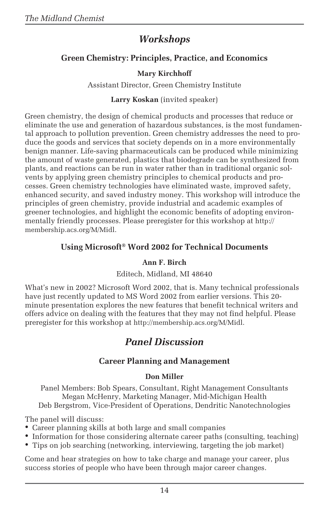### *Workshops*

#### **Green Chemistry: Principles, Practice, and Economics**

#### **Mary Kirchhoff**

Assistant Director, Green Chemistry Institute

#### **Larry Koskan** (invited speaker)

Green chemistry, the design of chemical products and processes that reduce or eliminate the use and generation of hazardous substances, is the most fundamental approach to pollution prevention. Green chemistry addresses the need to produce the goods and services that society depends on in a more environmentally benign manner. Life-saving pharmaceuticals can be produced while minimizing the amount of waste generated, plastics that biodegrade can be synthesized from plants, and reactions can be run in water rather than in traditional organic solvents by applying green chemistry principles to chemical products and processes. Green chemistry technologies have eliminated waste, improved safety, enhanced security, and saved industry money. This workshop will introduce the principles of green chemistry, provide industrial and academic examples of greener technologies, and highlight the economic benefits of adopting environmentally friendly processes. Please preregister for this workshop at http:// membership.acs.org/M/Midl.

#### **Using Microsoft® Word 2002 for Technical Documents**

#### **Ann F. Birch**

#### Editech, Midland, MI 48640

What's new in 2002? Microsoft Word 2002, that is. Many technical professionals have just recently updated to MS Word 2002 from earlier versions. This 20 minute presentation explores the new features that benefit technical writers and offers advice on dealing with the features that they may not find helpful. Please preregister for this workshop at http://membership.acs.org/M/Midl.

### *Panel Discussion*

#### **Career Planning and Management**

#### **Don Miller**

Panel Members: Bob Spears, Consultant, Right Management Consultants Megan McHenry, Marketing Manager, Mid-Michigan Health Deb Bergstrom, Vice-President of Operations, Dendritic Nanotechnologies

The panel will discuss:

- Career planning skills at both large and small companies
- Information for those considering alternate career paths (consulting, teaching)
- Tips on job searching (networking, interviewing, targeting the job market)

Come and hear strategies on how to take charge and manage your career, plus success stories of people who have been through major career changes.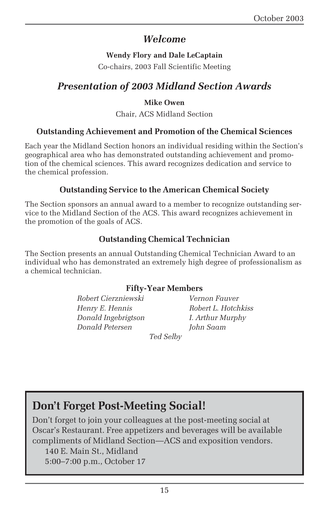### *Welcome*

#### **Wendy Flory and Dale LeCaptain**

Co-chairs, 2003 Fall Scientific Meeting

### *Presentation of 2003 Midland Section Awards*

#### **Mike Owen**

Chair, ACS Midland Section

#### **Outstanding Achievement and Promotion of the Chemical Sciences**

Each year the Midland Section honors an individual residing within the Section's geographical area who has demonstrated outstanding achievement and promotion of the chemical sciences. This award recognizes dedication and service to the chemical profession.

#### **Outstanding Service to the American Chemical Society**

The Section sponsors an annual award to a member to recognize outstanding service to the Midland Section of the ACS. This award recognizes achievement in the promotion of the goals of ACS.

#### **Outstanding Chemical Technician**

The Section presents an annual Outstanding Chemical Technician Award to an individual who has demonstrated an extremely high degree of professionalism as a chemical technician.

#### **Fifty-Year Members**

*Robert Cierzniewski Vernon Fauver Henry E. Hennis Robert L. Hotchkiss Donald Ingebrigtson I. Arthur Murphy Donald Petersen John Saam*

*Ted Selby*

### **Don't Forget Post-Meeting Social!**

Don't forget to join your colleagues at the post-meeting social at Oscar's Restaurant. Free appetizers and beverages will be available compliments of Midland Section—ACS and exposition vendors.

140 E. Main St., Midland

5:00–7:00 p.m., October 17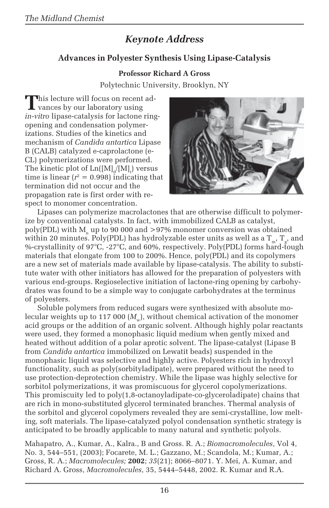### *Keynote Address*

#### **Advances in Polyester Synthesis Using Lipase-Catalysis**

#### **Professor Richard A Gross**

Polytechnic University, Brooklyn, NY

This lecture will focus on recent advances by our laboratory using *in-vitro* lipase-catalysis for lactone ringopening and condensation polymerizations. Studies of the kinetics and mechanism of *Candida antartica* Lipase B (CALB) catalyzed e-caprolactone (e-CL) polymerizations were performed. The kinetic plot of  $\mathrm{Ln}([\mathrm{M}]_{\mathrm{0}}/[\mathrm{M}]_{\mathrm{t}})$  versus time is linear  $(r^2 = 0.998)$  indicating that termination did not occur and the propagation rate is first order with respect to monomer concentration.



Lipases can polymerize macrolactones that are otherwise difficult to polymerize by conventional catalysts. In fact, with immobilized CALB as catalyst, poly(PDL) with  $M_n$  up to 90 000 and >97% monomer conversion was obtained within 20 minutes. Poly(PDL) has hydrolyzable ester units as well as a  $T_{m}$ ,  $T_{g}$ , and %-crystallinity of 97°C, -27°C, and 60%, respectively. Poly(PDL) forms hard-tough materials that elongate from 100 to 200%. Hence, poly(PDL) and its copolymers are a new set of materials made available by lipase-catalysis. The ability to substitute water with other initiators has allowed for the preparation of polyesters with various end-groups. Regioselective initiation of lactone-ring opening by carbohydrates was found to be a simple way to conjugate carbohydrates at the terminus of polyesters.

Soluble polymers from reduced sugars were synthesized with absolute molecular weights up to 117 000  $(M_{\ldots})$ , without chemical activation of the monomer acid groups or the addition of an organic solvent. Although highly polar reactants were used, they formed a monophasic liquid medium when gently mixed and heated without addition of a polar aprotic solvent. The lipase-catalyst (Lipase B from *Candida antartica* immobilized on Lewatit beads) suspended in the monophasic liquid was selective and highly active. Polyesters rich in hydroxyl functionality, such as poly(sorbityladipate), were prepared without the need to use protection-deprotection chemistry. While the lipase was highly selective for sorbitol polymerizations, it was promiscuous for glycerol copolymerizations. This promiscuity led to poly(1,8-octanoyladipate-co-glyceroladipate) chains that are rich in mono-substituted glycerol terminated branches. Thermal analysis of the sorbitol and glycerol copolymers revealed they are semi-crystalline, low melting, soft materials. The lipase-catalyzed polyol condensation synthetic strategy is anticipated to be broadly applicable to many natural and synthetic polyols.

Mahapatro, A., Kumar, A., Kalra., B and Gross. R. A.; *Biomacromolecules*, Vol 4, No. 3, 544–551, (2003); Focarete, M. L.; Gazzano, M.; Scandola, M.; Kumar, A.; Gross, R. A.; *Macromolecules;* **2002**; *35*(21); 8066–8071. Y. Mei, A. Kumar, and Richard A. Gross, *Macromolecules*, 35, 5444–5448, 2002. R. Kumar and R.A.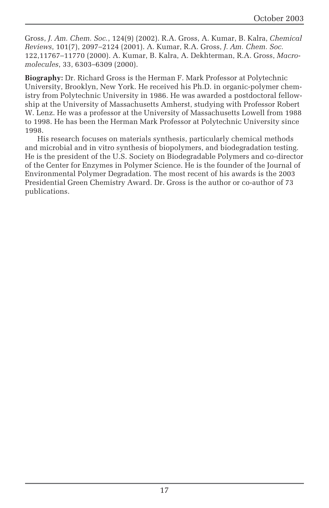Gross, *J. Am. Chem. Soc.*, 124(9) (2002). R.A. Gross, A. Kumar, B. Kalra, *Chemical Reviews*, 101(7), 2097–2124 (2001). A. Kumar, R.A. Gross, *J. Am. Chem. Soc.* 122,11767–11770 (2000). A. Kumar, B. Kalra, A. Dekhterman, R.A. Gross, *Macromolecules*, 33, 6303–6309 (2000).

**Biography:** Dr. Richard Gross is the Herman F. Mark Professor at Polytechnic University, Brooklyn, New York. He received his Ph.D. in organic-polymer chemistry from Polytechnic University in 1986. He was awarded a postdoctoral fellowship at the University of Massachusetts Amherst, studying with Professor Robert W. Lenz. He was a professor at the University of Massachusetts Lowell from 1988 to 1998. He has been the Herman Mark Professor at Polytechnic University since 1998.

His research focuses on materials synthesis, particularly chemical methods and microbial and in vitro synthesis of biopolymers, and biodegradation testing. He is the president of the U.S. Society on Biodegradable Polymers and co-director of the Center for Enzymes in Polymer Science. He is the founder of the Journal of Environmental Polymer Degradation. The most recent of his awards is the 2003 Presidential Green Chemistry Award. Dr. Gross is the author or co-author of 73 publications.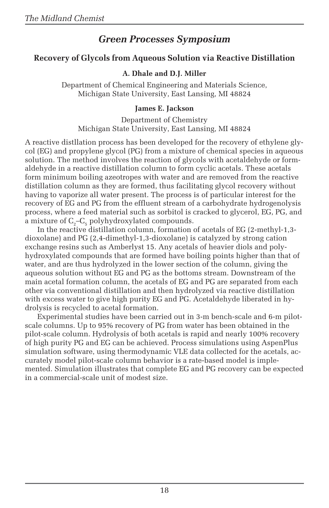### *Green Processes Symposium*

#### **Recovery of Glycols from Aqueous Solution via Reactive Distillation**

#### **A. Dhale and D.J. Miller**

Department of Chemical Engineering and Materials Science, Michigan State University, East Lansing, MI 48824

#### **James E. Jackson**

Department of Chemistry Michigan State University, East Lansing, MI 48824

A reactive distllation process has been developed for the recovery of ethylene glycol (EG) and propylene glycol (PG) from a mixture of chemical species in aqueous solution. The method involves the reaction of glycols with acetaldehyde or formaldehyde in a reactive distillation column to form cyclic acetals. These acetals form minimum boiling azeotropes with water and are removed from the reactive distillation column as they are formed, thus facilitating glycol recovery without having to vaporize all water present. The process is of particular interest for the recovery of EG and PG from the effluent stream of a carbohydrate hydrogenolysis process, where a feed material such as sorbitol is cracked to glycerol, EG, PG, and a mixture of  $C_2 - C_5$  polyhydroxylated compounds.

In the reactive distillation column, formation of acetals of EG (2-methyl-1,3 dioxolane) and PG (2,4-dimethyl-1,3-dioxolane) is catalyzed by strong cation exchange resins such as Amberlyst 15. Any acetals of heavier diols and polyhydroxylated compounds that are formed have boiling points higher than that of water, and are thus hydrolyzed in the lower section of the column, giving the aqueous solution without EG and PG as the bottoms stream. Downstream of the main acetal formation column, the acetals of EG and PG are separated from each other via conventional distillation and then hydrolyzed via reactive distillation with excess water to give high purity EG and PG. Acetaldehyde liberated in hydrolysis is recycled to acetal formation.

Experimental studies have been carried out in 3-m bench-scale and 6-m pilotscale columns. Up to 95% recovery of PG from water has been obtained in the pilot-scale column. Hydrolysis of both acetals is rapid and nearly 100% recovery of high purity PG and EG can be achieved. Process simulations using AspenPlus simulation software, using thermodynamic VLE data collected for the acetals, accurately model pilot-scale column behavior is a rate-based model is implemented. Simulation illustrates that complete EG and PG recovery can be expected in a commercial-scale unit of modest size.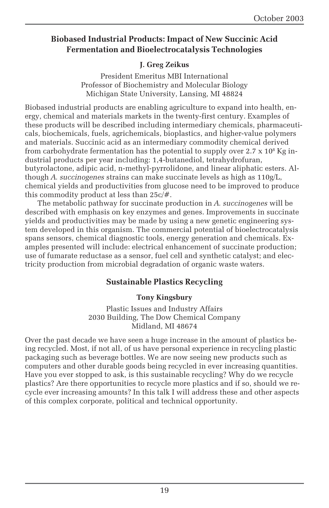#### **Biobased Industrial Products: Impact of New Succinic Acid Fermentation and Bioelectrocatalysis Technologies**

#### **J. Greg Zeikus**

President Emeritus MBI International Professor of Biochemistry and Molecular Biology Michigan State University, Lansing, MI 48824

Biobased industrial products are enabling agriculture to expand into health, energy, chemical and materials markets in the twenty-first century. Examples of these products will be described including intermediary chemicals, pharmaceuticals, biochemicals, fuels, agrichemicals, bioplastics, and higher-value polymers and materials. Succinic acid as an intermediary commodity chemical derived from carbohydrate fermentation has the potential to supply over 2.7  $\times$  10 $^{\rm 8}$  Kg industrial products per year including: 1,4-butanediol, tetrahydrofuran, butyrolactone, adipic acid, n-methyl-pyrrolidone, and linear aliphatic esters. Although *A. succinogenes* strains can make succinate levels as high as 110g/L, chemical yields and productivities from glucose need to be improved to produce this commodity product at less than 25c/#.

The metabolic pathway for succinate production in *A. succinogenes* will be described with emphasis on key enzymes and genes. Improvements in succinate yields and productivities may be made by using a new genetic engineering system developed in this organism. The commercial potential of bioelectrocatalysis spans sensors, chemical diagnostic tools, energy generation and chemicals. Examples presented will include: electrical enhancement of succinate production; use of fumarate reductase as a sensor, fuel cell and synthetic catalyst; and electricity production from microbial degradation of organic waste waters.

#### **Sustainable Plastics Recycling**

#### **Tony Kingsbury**

Plastic Issues and Industry Affairs 2030 Building, The Dow Chemical Company Midland, MI 48674

Over the past decade we have seen a huge increase in the amount of plastics being recycled. Most, if not all, of us have personal experience in recycling plastic packaging such as beverage bottles. We are now seeing new products such as computers and other durable goods being recycled in ever increasing quantities. Have you ever stopped to ask, is this sustainable recycling? Why do we recycle plastics? Are there opportunities to recycle more plastics and if so, should we recycle ever increasing amounts? In this talk I will address these and other aspects of this complex corporate, political and technical opportunity.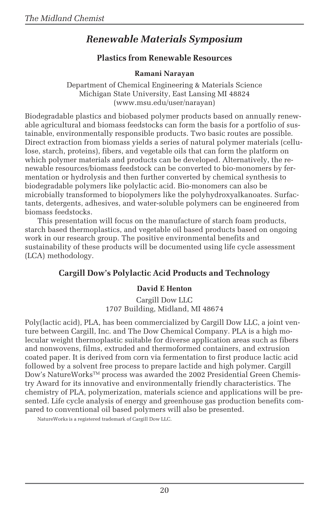### *Renewable Materials Symposium*

#### **Plastics from Renewable Resources**

#### **Ramani Narayan**

Department of Chemical Engineering & Materials Science Michigan State University, East Lansing MI 48824 (www.msu.edu/user/narayan)

Biodegradable plastics and biobased polymer products based on annually renewable agricultural and biomass feedstocks can form the basis for a portfolio of sustainable, environmentally responsible products. Two basic routes are possible. Direct extraction from biomass yields a series of natural polymer materials (cellulose, starch, proteins), fibers, and vegetable oils that can form the platform on which polymer materials and products can be developed. Alternatively, the renewable resources/biomass feedstock can be converted to bio-monomers by fermentation or hydrolysis and then further converted by chemical synthesis to biodegradable polymers like polylactic acid. Bio-monomers can also be microbially transformed to biopolymers like the polyhydroxyalkanoates. Surfactants, detergents, adhesives, and water-soluble polymers can be engineered from biomass feedstocks.

This presentation will focus on the manufacture of starch foam products, starch based thermoplastics, and vegetable oil based products based on ongoing work in our research group. The positive environmental benefits and sustainability of these products will be documented using life cycle assessment (LCA) methodology.

#### **Cargill Dow's Polylactic Acid Products and Technology**

#### **David E Henton**

Cargill Dow LLC 1707 Building, Midland, MI 48674

Poly(lactic acid), PLA, has been commercialized by Cargill Dow LLC, a joint venture between Cargill, Inc. and The Dow Chemical Company. PLA is a high molecular weight thermoplastic suitable for diverse application areas such as fibers and nonwovens, films, extruded and thermoformed containers, and extrusion coated paper. It is derived from corn via fermentation to first produce lactic acid followed by a solvent free process to prepare lactide and high polymer. Cargill Dow's NatureWorks™ process was awarded the 2002 Presidential Green Chemistry Award for its innovative and environmentally friendly characteristics. The chemistry of PLA, polymerization, materials science and applications will be presented. Life cycle analysis of energy and greenhouse gas production benefits compared to conventional oil based polymers will also be presented.

NatureWorks is a registered trademark of Cargill Dow LLC.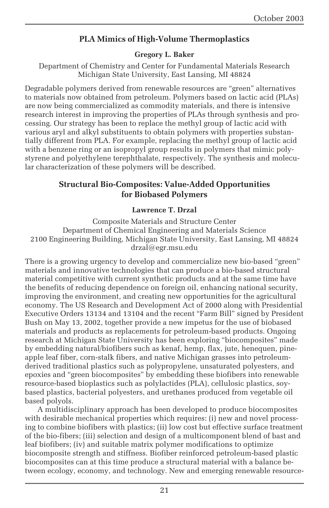#### **PLA Mimics of High-Volume Thermoplastics**

#### **Gregory L. Baker**

Department of Chemistry and Center for Fundamental Materials Research Michigan State University, East Lansing, MI 48824

Degradable polymers derived from renewable resources are "green" alternatives to materials now obtained from petroleum. Polymers based on lactic acid (PLAs) are now being commercialized as commodity materials, and there is intensive research interest in improving the properties of PLAs through synthesis and processing. Our strategy has been to replace the methyl group of lactic acid with various aryl and alkyl substituents to obtain polymers with properties substantially different from PLA. For example, replacing the methyl group of lactic acid with a benzene ring or an isopropyl group results in polymers that mimic polystyrene and polyethylene terephthalate, respectively. The synthesis and molecular characterization of these polymers will be described.

#### **Structural Bio-Composites: Value-Added Opportunities for Biobased Polymers**

#### **Lawrence T. Drzal**

Composite Materials and Structure Center Department of Chemical Engineering and Materials Science 2100 Engineering Building, Michigan State University, East Lansing, MI 48824 drzal@egr.msu.edu

There is a growing urgency to develop and commercialize new bio-based "green" materials and innovative technologies that can produce a bio-based structural material competitive with current synthetic products and at the same time have the benefits of reducing dependence on foreign oil, enhancing national security, improving the environment, and creating new opportunities for the agricultural economy. The US Research and Development Act of 2000 along with Presidential Executive Orders 13134 and 13104 and the recent "Farm Bill" signed by President Bush on May 13, 2002, together provide a new impetus for the use of biobased materials and products as replacements for petroleum-based products. Ongoing research at Michigan State University has been exploring "biocomposites" made by embedding natural/biofibers such as kenaf, hemp, flax, jute, henequen, pineapple leaf fiber, corn-stalk fibers, and native Michigan grasses into petroleumderived traditional plastics such as polypropylene, unsaturated polyesters, and epoxies and "green biocomposites" by embedding these biofibers into renewable resource-based bioplastics such as polylactides (PLA), cellulosic plastics, soybased plastics, bacterial polyesters, and urethanes produced from vegetable oil based polyols.

A multidisciplinary approach has been developed to produce biocomposites with desirable mechanical properties which requires: (i) new and novel processing to combine biofibers with plastics; (ii) low cost but effective surface treatment of the bio-fibers; (iii) selection and design of a multicomponent blend of bast and leaf biofibers; (iv) and suitable matrix polymer modifications to optimize biocomposite strength and stiffness. Biofiber reinforced petroleum-based plastic biocomposites can at this time produce a structural material with a balance between ecology, economy, and technology. New and emerging renewable resource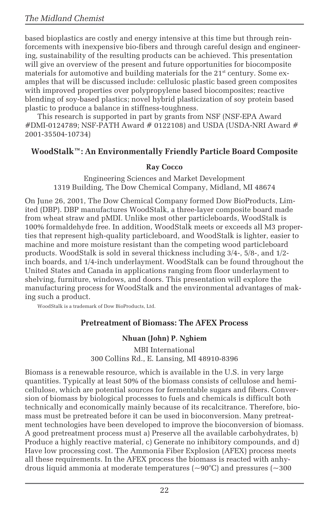based bioplastics are costly and energy intensive at this time but through reinforcements with inexpensive bio-fibers and through careful design and engineering, sustainability of the resulting products can be achieved. This presentation will give an overview of the present and future opportunities for biocomposite materials for automotive and building materials for the 21<sup>st</sup> century. Some examples that will be discussed include: cellulosic plastic based green composites with improved properties over polypropylene based biocomposites; reactive blending of soy-based plastics; novel hybrid plasticization of soy protein based plastic to produce a balance in stiffness-toughness.

This research is supported in part by grants from NSF (NSF-EPA Award  $\#$ DMI-0124789; NSF-PATH Award  $\#$  0122108) and USDA (USDA-NRI Award  $\#$ 2001-35504-10734)

#### **WoodStalk™: An Environmentally Friendly Particle Board Composite**

#### **Ray Cocco**

Engineering Sciences and Market Development 1319 Building, The Dow Chemical Company, Midland, MI 48674

On June 26, 2001, The Dow Chemical Company formed Dow BioProducts, Limited (DBP). DBP manufactures WoodStalk, a three-layer composite board made from wheat straw and pMDI. Unlike most other particleboards, WoodStalk is 100% formaldehyde free. In addition, WoodStalk meets or exceeds all M3 properties that represent high-quality particleboard, and WoodStalk is lighter, easier to machine and more moisture resistant than the competing wood particleboard products. WoodStalk is sold in several thickness including 3/4-, 5/8-, and 1/2 inch boards, and 1/4-inch underlayment. WoodStalk can be found throughout the United States and Canada in applications ranging from floor underlayment to shelving, furniture, windows, and doors. This presentation will explore the manufacturing process for WoodStalk and the environmental advantages of making such a product.

WoodStalk is a trademark of Dow BioProducts, Ltd.

#### **Pretreatment of Biomass: The AFEX Process**

#### **Nhuan (John) P. Nghiem**

MBI International 300 Collins Rd., E. Lansing, MI 48910-8396

Biomass is a renewable resource, which is available in the U.S. in very large quantities. Typically at least 50% of the biomass consists of cellulose and hemicellulose, which are potential sources for fermentable sugars and fibers. Conversion of biomass by biological processes to fuels and chemicals is difficult both technically and economically mainly because of its recalcitrance. Therefore, biomass must be pretreated before it can be used in bioconversion. Many pretreatment technologies have been developed to improve the bioconversion of biomass. A good pretreatment process must a) Preserve all the available carbohydrates, b) Produce a highly reactive material, c) Generate no inhibitory compounds, and d) Have low processing cost. The Ammonia Fiber Explosion (AFEX) process meets all these requirements. In the AFEX process the biomass is reacted with anhydrous liquid ammonia at moderate temperatures  $\sim 90^{\circ}$ C) and pressures ( $\sim 300$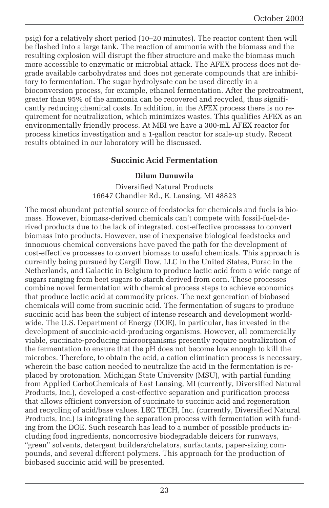psig) for a relatively short period (10–20 minutes). The reactor content then will be flashed into a large tank. The reaction of ammonia with the biomass and the resulting explosion will disrupt the fiber structure and make the biomass much more accessible to enzymatic or microbial attack. The AFEX process does not degrade available carbohydrates and does not generate compounds that are inhibitory to fermentation. The sugar hydrolysate can be used directly in a bioconversion process, for example, ethanol fermentation. After the pretreatment, greater than 95% of the ammonia can be recovered and recycled, thus significantly reducing chemical costs. In addition, in the AFEX process there is no requirement for neutralization, which minimizes wastes. This qualifies AFEX as an environmentally friendly process. At MBI we have a 300-mL AFEX reactor for process kinetics investigation and a 1-gallon reactor for scale-up study. Recent results obtained in our laboratory will be discussed.

#### **Succinic Acid Fermentation**

#### **Dilum Dunuwila**

Diversified Natural Products 16647 Chandler Rd., E. Lansing, MI 48823

The most abundant potential source of feedstocks for chemicals and fuels is biomass. However, biomass-derived chemicals can't compete with fossil-fuel-derived products due to the lack of integrated, cost-effective processes to convert biomass into products. However, use of inexpensive biological feedstocks and innocuous chemical conversions have paved the path for the development of cost-effective processes to convert biomass to useful chemicals. This approach is currently being pursued by Cargill Dow, LLC in the United States, Purac in the Netherlands, and Galactic in Belgium to produce lactic acid from a wide range of sugars ranging from beet sugars to starch derived from corn. These processes combine novel fermentation with chemical process steps to achieve economics that produce lactic acid at commodity prices. The next generation of biobased chemicals will come from succinic acid. The fermentation of sugars to produce succinic acid has been the subject of intense research and development worldwide. The U.S. Department of Energy (DOE), in particular, has invested in the development of succinic-acid-producing organisms. However, all commercially viable, succinate-producing microorganisms presently require neutralization of the fermentation to ensure that the pH does not become low enough to kill the microbes. Therefore, to obtain the acid, a cation elimination process is necessary, wherein the base cation needed to neutralize the acid in the fermentation is replaced by protonation. Michigan State University (MSU), with partial funding from Applied CarboChemicals of East Lansing, MI (currently, Diversified Natural Products, Inc.), developed a cost-effective separation and purification process that allows efficient conversion of succinate to succinic acid and regeneration and recycling of acid/base values. LEC TECH, Inc. (currently, Diversified Natural Products, Inc.) is integrating the separation process with fermentation with funding from the DOE. Such research has lead to a number of possible products including food ingredients, noncorrosive biodegradable deicers for runways, "green" solvents, detergent builders/chelators, surfactants, paper-sizing compounds, and several different polymers. This approach for the production of biobased succinic acid will be presented.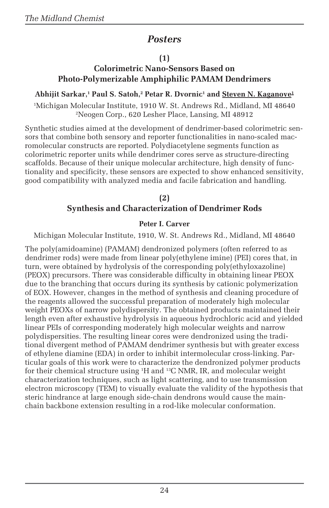### *Posters*

#### **(1)**

### **Colorimetric Nano-Sensors Based on Photo-Polymerizable Amphiphilic PAMAM Dendrimers**

#### Abhijit Sarkar,<sup>1</sup> Paul S. Satoh,<sup>2</sup> Petar R. Dvornic<sup>1</sup> and <u>Steven N. Kaganove<sup>1</sup></u>

1 Michigan Molecular Institute, 1910 W. St. Andrews Rd., Midland, MI 48640 2 Neogen Corp., 620 Lesher Place, Lansing, MI 48912

Synthetic studies aimed at the development of dendrimer-based colorimetric sensors that combine both sensory and reporter functionalities in nano-scaled macromolecular constructs are reported. Polydiacetylene segments function as colorimetric reporter units while dendrimer cores serve as structure-directing scaffolds. Because of their unique molecular architecture, high density of functionality and specificity, these sensors are expected to show enhanced sensitivity, good compatibility with analyzed media and facile fabrication and handling.

#### **(2) Synthesis and Characterization of Dendrimer Rods**

#### **Peter I. Carver**

Michigan Molecular Institute, 1910, W. St. Andrews Rd., Midland, MI 48640

The poly(amidoamine) (PAMAM) dendronized polymers (often referred to as dendrimer rods) were made from linear poly(ethylene imine) (PEI) cores that, in turn, were obtained by hydrolysis of the corresponding poly(ethyloxazoline) (PEOX) precursors. There was considerable difficulty in obtaining linear PEOX due to the branching that occurs during its synthesis by cationic polymerization of EOX. However, changes in the method of synthesis and cleaning procedure of the reagents allowed the successful preparation of moderately high molecular weight PEOXs of narrow polydispersity. The obtained products maintained their length even after exhaustive hydrolysis in aqueous hydrochloric acid and yielded linear PEIs of corresponding moderately high molecular weights and narrow polydispersities. The resulting linear cores were dendronized using the traditional divergent method of PAMAM dendrimer synthesis but with greater excess of ethylene diamine (EDA) in order to inhibit intermolecular cross-linking. Particular goals of this work were to characterize the dendronized polymer products for their chemical structure using 1 H and 13C NMR, IR, and molecular weight characterization techniques, such as light scattering, and to use transmission electron microscopy (TEM) to visually evaluate the validity of the hypothesis that steric hindrance at large enough side-chain dendrons would cause the mainchain backbone extension resulting in a rod-like molecular conformation.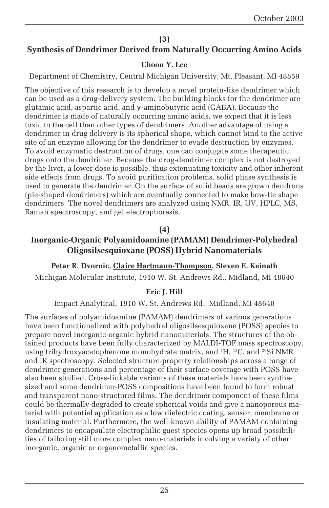#### **(3)**

#### **Synthesis of Dendrimer Derived from Naturally Occurring Amino Acids**

#### **Choon Y. Lee**

Department of Chemistry, Central Michigan University, Mt. Pleasant, MI 48859

The objective of this research is to develop a novel protein-like dendrimer which can be used as a drug-delivery system. The building blocks for the dendrimer are glutamic acid, aspartic acid, and γ -aminobutyric acid (GABA). Because the dendrimer is made of naturally occurring amino acids, we expect that it is less toxic to the cell than other types of dendrimers. Another advantage of using a dendrimer in drug delivery is its spherical shape, which cannot bind to the active site of an enzyme allowing for the dendrimer to evade destruction by enzymes. To avoid enzymatic destruction of drugs, one can conjugate some therapeutic drugs onto the dendrimer. Because the drug-dendrimer complex is not destroyed by the liver, a lower dose is possible, thus extenuating toxicity and other inherent side effects from drugs. To avoid purification problems, solid phase synthesis is used to generate the dendrimer. On the surface of solid beads are grown dendrons (pie-shaped dendrimers) which are eventually connected to make bow-tie shape dendrimers. The novel dendrimers are analyzed using NMR, IR, UV, HPLC, MS, Raman spectroscopy, and gel electrophoresis.

#### **(4)**

#### **Inorganic-Organic Polyamidoamine (PAMAM) Dendrimer-Polyhedral Oligosilsesquioxane (POSS) Hybrid Nanomaterials**

#### **Petar R. Dvornic, Claire Hartmann-Thompson, Steven E. Keinath** Michigan Molecular Institute, 1910 W. St. Andrews Rd., Midland, MI 48640

#### **Eric J. Hill**

Impact Analytical, 1910 W. St. Andrews Rd., Midland, MI 48640

The surfaces of polyamidoamine (PAMAM) dendrimers of various generations have been functionalized with polyhedral oligosilsesquioxane (POSS) species to prepare novel inorganic-organic hybrid nanomaterials. The structures of the obtained products have been fully characterized by MALDI-TOF mass spectroscopy, using trihydroxyacetophenone monohydrate matrix, and <sup>1</sup>H, <sup>13</sup>C, and <sup>29</sup>Si NMR and IR spectroscopy. Selected structure-property relationships across a range of dendrimer generations and percentage of their surface coverage with POSS have also been studied. Cross-linkable variants of these materials have been synthesized and some dendrimer-POSS compositions have been found to form robust and transparent nano-structured films. The dendrimer component of these films could be thermally degraded to create spherical voids and give a nanoporous material with potential application as a low dielectric coating, sensor, membrane or insulating material. Furthermore, the well-known ability of PAMAM-containing dendrimers to encapsulate electrophilic guest species opens up broad possibilities of tailoring still more complex nano-materials involving a variety of other inorganic, organic or organometallic species.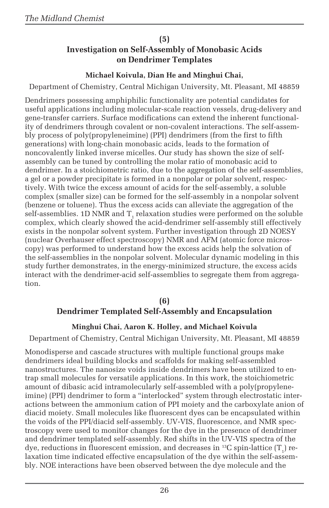#### **(5)**

#### **Investigation on Self-Assembly of Monobasic Acids on Dendrimer Templates**

#### **Michael Koivula, Dian He and Minghui Chai,**

Department of Chemistry, Central Michigan University, Mt. Pleasant, MI 48859

Dendrimers possessing amphiphilic functionality are potential candidates for useful applications including molecular-scale reaction vessels, drug-delivery and gene-transfer carriers. Surface modifications can extend the inherent functionality of dendrimers through covalent or non-covalent interactions. The self-assembly process of poly(propyleneimine) (PPI) dendrimers (from the first to fifth generations) with long-chain monobasic acids, leads to the formation of noncovalently linked inverse micelles. Our study has shown the size of selfassembly can be tuned by controlling the molar ratio of monobasic acid to dendrimer. In a stoichiometric ratio, due to the aggregation of the self-assemblies, a gel or a powder precipitate is formed in a nonpolar or polar solvent, respectively. With twice the excess amount of acids for the self-assembly, a soluble complex (smaller size) can be formed for the self-assembly in a nonpolar solvent (benzene or toluene). Thus the excess acids can alleviate the aggregation of the self-assemblies. 1D NMR and  $\text{T}_\text{\tiny{1}}$  relaxation studies were performed on the soluble complex, which clearly showed the acid-dendrimer self-assembly still effectively exists in the nonpolar solvent system. Further investigation through 2D NOESY (nuclear Overhauser effect spectroscopy) NMR and AFM (atomic force microscopy) was performed to understand how the excess acids help the solvation of the self-assemblies in the nonpolar solvent. Molecular dynamic modeling in this study further demonstrates, in the energy-minimized structure, the excess acids interact with the dendrimer-acid self-assemblies to segregate them from aggregation.

#### **(6)**

#### **Dendrimer Templated Self-Assembly and Encapsulation**

#### **Minghui Chai, Aaron K. Holley, and Michael Koivula**

Department of Chemistry, Central Michigan University, Mt. Pleasant, MI 48859

Monodisperse and cascade structures with multiple functional groups make dendrimers ideal building blocks and scaffolds for making self-assembled nanostructures. The nanosize voids inside dendrimers have been utilized to entrap small molecules for versatile applications. In this work, the stoichiometric amount of dibasic acid intramolecularly self-assembled with a poly(propyleneimine) (PPI) dendrimer to form a "interlocked" system through electrostatic interactions between the ammonium cation of PPI moiety and the carboxylate anion of diacid moiety. Small molecules like fluorescent dyes can be encapsulated within the voids of the PPI/diacid self-assembly. UV-VIS, fluorescence, and NMR spectroscopy were used to monitor changes for the dye in the presence of dendrimer and dendrimer templated self-assembly. Red shifts in the UV-VIS spectra of the dye, reductions in fluorescent emission, and decreases in  $^{13}$ C spin-lattice  $(T_1)$  relaxation time indicated effective encapsulation of the dye within the self-assembly. NOE interactions have been observed between the dye molecule and the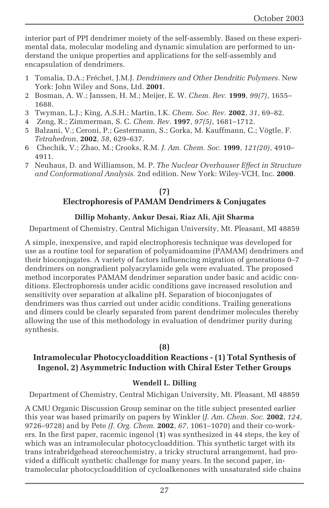interior part of PPI dendrimer moiety of the self-assembly. Based on these experimental data, molecular modeling and dynamic simulation are performed to understand the unique properties and applications for the self-assembly and encapsulation of dendrimers.

- 1 Tomalia, D.A.; Fréchet, J.M.J. *Dendrimers and Other Dendritic Polymers*. New York: John Wiley and Sons, Ltd. **2001**.
- 2 Bosman, A. W.; Janssen, H. M.; Meijer, E. W. *Chem. Rev.* **1999**, *99(7)*, 1655– 1688.
- 3 Twyman, L.J.; King, A.S.H.; Martin, I.K. *Chem. Soc. Rev.* **2002**, *31*, 69–82.
- 4 Zeng, R.; Zimmerman, S. C. *Chem. Rev.* **1997**, *97(5)*, 1681–1712.
- 5 Balzani, V.; Ceroni, P.; Gestermann, S.; Gorka, M. Kauffmann, C.; Vögtle, F. *Tetrahedron*, **2002**, *58*, 629–637.
- 6 Chechik, V.; Zhao, M.; Crooks, R.M. *J. Am. Chem. Soc.* **1999**, *121(20)*, 4910– 4911.
- 7 Neuhaus, D. and Williamson, M. P. *The Nuclear Overhauser Effect in Structure and Conformational Analysis.* 2nd edition. New York: Wiley-VCH, Inc. **2000**.

#### **(7) Electrophoresis of PAMAM Dendrimers & Conjugates**

#### **Dillip Mohanty, Ankur Desai, Riaz Ali, Ajit Sharma**

Department of Chemistry, Central Michigan University, Mt. Pleasant, MI 48859

A simple, inexpensive, and rapid electrophoresis technique was developed for use as a routine tool for separation of polyamidoamine (PAMAM) dendrimers and their bioconjugates. A variety of factors influencing migration of generations 0–7 dendrimers on nongradient polyacrylamide gels were evaluated. The proposed method incorporates PAMAM dendrimer separation under basic and acidic conditions. Electrophoresis under acidic conditions gave increased resolution and sensitivity over separation at alkaline pH. Separation of bioconjugates of dendrimers was thus carried out under acidic conditions. Trailing generations and dimers could be clearly separated from parent dendrimer molecules thereby allowing the use of this methodology in evaluation of dendrimer purity during synthesis.

#### **(8)**

#### **Intramolecular Photocycloaddition Reactions - (1) Total Synthesis of Ingenol, 2) Asymmetric Induction with Chiral Ester Tether Groups**

#### **Wendell L. Dilling**

Department of Chemistry, Central Michigan University, Mt. Pleasant, MI 48859

A CMU Organic Discussion Group seminar on the title subject presented earlier this year was based primarily on papers by Winkler (*J. Am. Chem. Soc.* **2002**, *124*, 9726–9728) and by Pete *(J. Org. Chem.* **2002**, *67*, 1061–1070) and their co-workers. In the first paper, racemic ingenol (**1**) was synthesized in 44 steps, the key of which was an intramolecular photocycloaddition. This synthetic target with its trans intrabridgehead stereochemistry, a tricky structural arrangement, had provided a difficult synthetic challenge for many years. In the second paper, intramolecular photocycloaddition of cycloalkenones with unsaturated side chains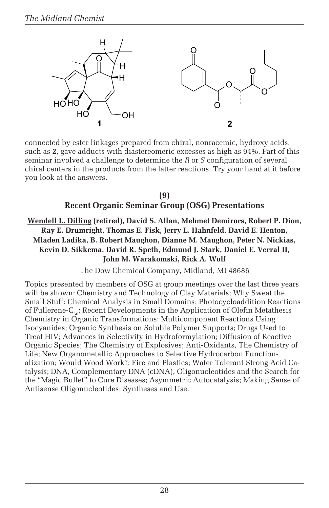

connected by ester linkages prepared from chiral, nonracemic, hydroxy acids, such as **2**, gave adducts with diastereomeric excesses as high as 94%. Part of this seminar involved a challenge to determine the *R* or *S* configuration of several chiral centers in the products from the latter reactions. Try your hand at it before you look at the answers.

#### **(9) Recent Organic Seminar Group (OSG) Presentations**

#### **Wendell L. Dilling (retired), David S. Allan, Mehmet Demirors, Robert P. Dion, Ray E. Drumright, Thomas E. Fisk, Jerry L. Hahnfeld, David E. Henton, Mladen Ladika, B. Robert Maughon, Dianne M. Maughon, Peter N. Nickias, Kevin D. Sikkema, David R. Speth, Edmund J. Stark, Daniel E. Verral II, John M. Warakomski, Rick A. Wolf**

The Dow Chemical Company, Midland, MI 48686

Topics presented by members of OSG at group meetings over the last three years will be shown: Chemistry and Technology of Clay Materials; Why Sweat the Small Stuff: Chemical Analysis in Small Domains; Photocycloaddition Reactions of Fullerene- $C_{\kappa 0}$ ; Recent Developments in the Application of Olefin Metathesis Chemistry in Organic Transformations; Multicomponent Reactions Using Isocyanides; Organic Synthesis on Soluble Polymer Supports; Drugs Used to Treat HIV; Advances in Selectivity in Hydroformylation; Diffusion of Reactive Organic Species; The Chemistry of Explosives; Anti-Oxidants, The Chemistry of Life; New Organometallic Approaches to Selective Hydrocarbon Functionalization; Would Wood Work?; Fire and Plastics; Water Tolerant Strong Acid Catalysis; DNA, Complementary DNA (cDNA), Oligonucleotides and the Search for the "Magic Bullet" to Cure Diseases; Asymmetric Autocatalysis; Making Sense of Antisense Oligonucleotides: Syntheses and Use.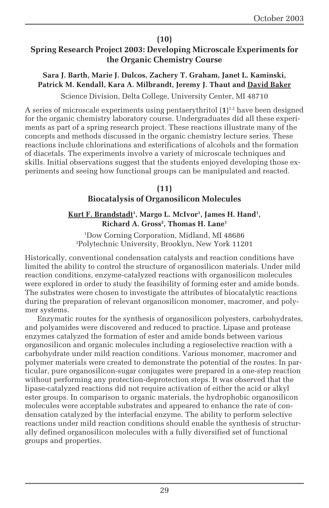#### **(10)**

#### **Spring Research Project 2003: Developing Microscale Experiments for the Organic Chemistry Course**

#### **Sara J. Barth, Marie J. Dulcos, Zachery T. Graham, Janet L. Kaminski, Patrick M. Kendall, Kara A. Milbrandt, Jeremy J. Thaut and David Baker**

Science Division, Delta College, University Center, MI 48710

A series of microscale experiments using pentaerythritol  $(1)^{1,2}$  have been designed for the organic chemistry laboratory course. Undergraduates did all these experiments as part of a spring research project. These reactions illustrate many of the concepts and methods discussed in the organic chemistry lecture series. These reactions include chlorinations and esterifications of alcohols and the formation of diacetals. The experiments involve a variety of microscale techniques and skills. Initial observations suggest that the students enjoyed developing those experiments and seeing how functional groups can be manipulated and reacted.

#### **(11)**

#### **Biocatalysis of Organosilicon Molecules**

#### <u>Kurt F. Brandstadt</u>', Margo L. McIvor', James H. Hand', **Richard A. Gross2 , Thomas H. Lane1**

1 Dow Corning Corporation, Midland, MI 48686 2 Polytechnic University, Brooklyn, New York 11201

Historically, conventional condensation catalysts and reaction conditions have limited the ability to control the structure of organosilicon materials. Under mild reaction conditions, enzyme-catalyzed reactions with organosilicon molecules were explored in order to study the feasibility of forming ester and amide bonds. The substrates were chosen to investigate the attributes of biocatalytic reactions during the preparation of relevant organosilicon monomer, macromer, and polymer systems.

Enzymatic routes for the synthesis of organosilicon polyesters, carbohydrates, and polyamides were discovered and reduced to practice. Lipase and protease enzymes catalyzed the formation of ester and amide bonds between various organosilicon and organic molecules including a regioselective reaction with a carbohydrate under mild reaction conditions. Various monomer, macromer and polymer materials were created to demonstrate the potential of the routes. In particular, pure organosilicon-sugar conjugates were prepared in a one-step reaction without performing any protection-deprotection steps. It was observed that the lipase-catalyzed reactions did not require activation of either the acid or alkyl ester groups. In comparison to organic materials, the hydrophobic organosilicon molecules were acceptable substrates and appeared to enhance the rate of condensation catalyzed by the interfacial enzyme. The ability to perform selective reactions under mild reaction conditions should enable the synthesis of structurally defined organosilicon molecules with a fully diversified set of functional groups and properties.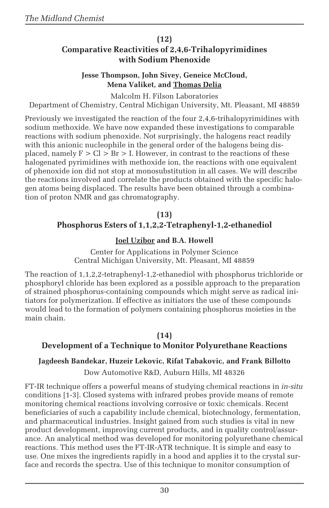#### **(12)**

#### **Comparative Reactivities of 2,4,6-Trihalopyrimidines with Sodium Phenoxide**

#### **Jesse Thompson, John Sivey, Geneice McCloud, Mena Valiket, and Thomas Delia**

Malcolm H. Filson Laboratories Department of Chemistry, Central Michigan University, Mt. Pleasant, MI 48859

Previously we investigated the reaction of the four 2,4,6-trihalopyrimidines with sodium methoxide. We have now expanded these investigations to comparable reactions with sodium phenoxide. Not surprisingly, the halogens react readily with this anionic nucleophile in the general order of the halogens being displaced, namely  $F > Cl > Br > I$ . However, in contrast to the reactions of these halogenated pyrimidines with methoxide ion, the reactions with one equivalent of phenoxide ion did not stop at monosubstitution in all cases. We will describe the reactions involved and correlate the products obtained with the specific halogen atoms being displaced. The results have been obtained through a combination of proton NMR and gas chromatography.

#### **(13) Phosphorus Esters of 1,1,2,2-Tetraphenyl-1,2-ethanediol**

#### **Joel Uzibor and B.A. Howell**

Center for Applications in Polymer Science Central Michigan University, Mt. Pleasant, MI 48859

The reaction of 1,1,2,2-tetraphenyl-1,2-ethanediol with phosphorus trichloride or phosphoryl chloride has been explored as a possible approach to the preparation of strained phosphorus-containing compounds which might serve as radical initiators for polymerization. If effective as initiators the use of these compounds would lead to the formation of polymers containing phosphorus moieties in the main chain.

#### **(14)**

#### **Development of a Technique to Monitor Polyurethane Reactions**

#### **Jagdeesh Bandekar, Huzeir Lekovic, Rifat Tabakovic, and Frank Billotto**

Dow Automotive R&D, Auburn Hills, MI 48326

FT-IR technique offers a powerful means of studying chemical reactions in *in-situ* conditions [1-3]. Closed systems with infrared probes provide means of remote monitoring chemical reactions involving corrosive or toxic chemicals. Recent beneficiaries of such a capability include chemical, biotechnology, fermentation, and pharmaceutical industries. Insight gained from such studies is vital in new product development, improving current products, and in quality control/assurance. An analytical method was developed for monitoring polyurethane chemical reactions. This method uses the FT-IR-ATR technique. It is simple and easy to use. One mixes the ingredients rapidly in a hood and applies it to the crystal surface and records the spectra. Use of this technique to monitor consumption of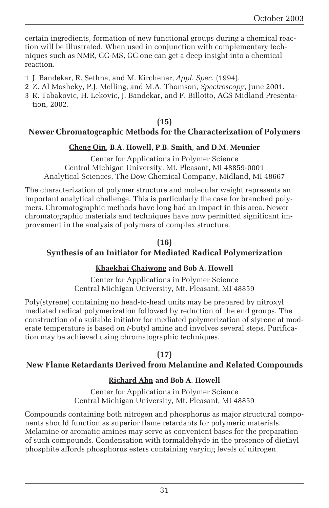certain ingredients, formation of new functional groups during a chemical reaction will be illustrated. When used in conjunction with complementary techniques such as NMR, GC-MS, GC one can get a deep insight into a chemical reaction.

- 1 J. Bandekar, R. Sethna, and M. Kirchener, *Appl. Spec.* (1994).
- 2 Z. Al Mosheky, P.J. Melling, and M.A. Thomson, *Spectroscopy*, June 2001.
- 3 R. Tabakovic, H. Lekovic, J. Bandekar, and F. Billotto, ACS Midland Presentation, 2002.

#### **(15)**

#### **Newer Chromatographic Methods for the Characterization of Polymers**

#### **Cheng Qin, B.A. Howell, P.B. Smith, and D.M. Meunier**

Center for Applications in Polymer Science Central Michigan University, Mt. Pleasant, MI 48859-0001 Analytical Sciences, The Dow Chemical Company, Midland, MI 48667

The characterization of polymer structure and molecular weight represents an important analytical challenge. This is particularly the case for branched polymers. Chromatographic methods have long had an impact in this area. Newer chromatographic materials and techniques have now permitted significant improvement in the analysis of polymers of complex structure.

#### **(16) Synthesis of an Initiator for Mediated Radical Polymerization**

#### **Khaekhai Chaiwong and Bob A. Howell**

Center for Applications in Polymer Science Central Michigan University, Mt. Pleasant, MI 48859

Poly(styrene) containing no head-to-head units may be prepared by nitroxyl mediated radical polymerization followed by reduction of the end groups. The construction of a suitable initiator for mediated polymerization of styrene at moderate temperature is based on *t*-butyl amine and involves several steps. Purification may be achieved using chromatographic techniques.

#### **(17)**

#### **New Flame Retardants Derived from Melamine and Related Compounds**

#### **Richard Ahn and Bob A. Howell**

Center for Applications in Polymer Science Central Michigan University, Mt. Pleasant, MI 48859

Compounds containing both nitrogen and phosphorus as major structural components should function as superior flame retardants for polymeric materials. Melamine or aromatic amines may serve as convenient bases for the preparation of such compounds. Condensation with formaldehyde in the presence of diethyl phosphite affords phosphorus esters containing varying levels of nitrogen.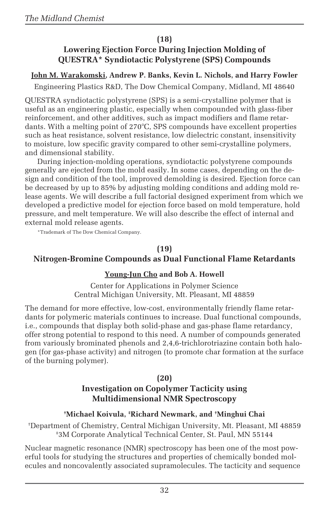#### **(18)**

#### **Lowering Ejection Force During Injection Molding of QUESTRA\* Syndiotactic Polystyrene (SPS) Compounds**

#### **John M. Warakomski, Andrew P. Banks, Kevin L. Nichols, and Harry Fowler**

Engineering Plastics R&D, The Dow Chemical Company, Midland, MI 48640

QUESTRA syndiotactic polystyrene (SPS) is a semi-crystalline polymer that is useful as an engineering plastic, especially when compounded with glass-fiber reinforcement, and other additives, such as impact modifiers and flame retardants. With a melting point of 270°C, SPS compounds have excellent properties such as heat resistance, solvent resistance, low dielectric constant, insensitivity to moisture, low specific gravity compared to other semi-crystalline polymers, and dimensional stability.

During injection-molding operations, syndiotactic polystyrene compounds generally are ejected from the mold easily. In some cases, depending on the design and condition of the tool, improved demolding is desired. Ejection force can be decreased by up to 85% by adjusting molding conditions and adding mold release agents. We will describe a full factorial designed experiment from which we developed a predictive model for ejection force based on mold temperature, hold pressure, and melt temperature. We will also describe the effect of internal and external mold release agents.

\*Trademark of The Dow Chemical Company.

#### **(19)**

#### **Nitrogen-Bromine Compounds as Dual Functional Flame Retardants**

#### **Young-Jun Cho and Bob A. Howell**

Center for Applications in Polymer Science Central Michigan University, Mt. Pleasant, MI 48859

The demand for more effective, low-cost, environmentally friendly flame retardants for polymeric materials continues to increase. Dual functional compounds, i.e., compounds that display both solid-phase and gas-phase flame retardancy, offer strong potential to respond to this need. A number of compounds generated from variously brominated phenols and 2,4,6-trichlorotriazine contain both halogen (for gas-phase activity) and nitrogen (to promote char formation at the surface of the burning polymer).

#### **(20)**

### **Investigation on Copolymer Tacticity using Multidimensional NMR Spectroscopy**

#### **† Michael Koivula, ‡ Richard Newmark, and † Minghui Chai**

† Department of Chemistry, Central Michigan University, Mt. Pleasant, MI 48859 ‡ 3M Corporate Analytical Technical Center, St. Paul, MN 55144

Nuclear magnetic resonance (NMR) spectroscopy has been one of the most powerful tools for studying the structures and properties of chemically bonded molecules and noncovalently associated supramolecules. The tacticity and sequence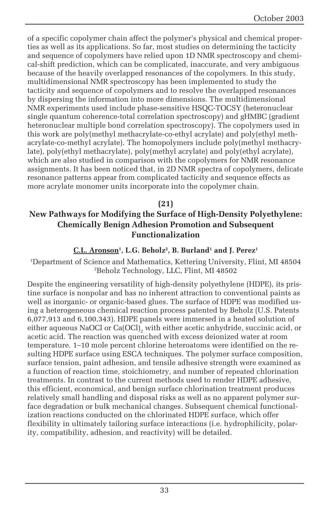of a specific copolymer chain affect the polymer's physical and chemical properties as well as its applications. So far, most studies on determining the tacticity and sequence of copolymers have relied upon 1D NMR spectroscopy and chemical-shift prediction, which can be complicated, inaccurate, and very ambiguous because of the heavily overlapped resonances of the copolymers. In this study, multidimensional NMR spectroscopy has been implemented to study the tacticity and sequence of copolymers and to resolve the overlapped resonances by dispersing the information into more dimensions. The multidimensional NMR experiments used include phase-sensitive HSQC-TOCSY (heteronuclear single quantum coherence-total correlation spectroscopy) and gHMBC (gradient heteronuclear multiple bond correlation spectroscopy). The copolymers used in this work are poly(methyl methacrylate-co-ethyl acrylate) and poly(ethyl methacrylate-co-methyl acrylate). The homopolymers include poly(methyl methacrylate), poly(ethyl methacrylate), poly(methyl acrylate) and poly(ethyl acrylate), which are also studied in comparison with the copolymers for NMR resonance assignments. It has been noticed that, in 2D NMR spectra of copolymers, delicate resonance patterns appear from complicated tacticity and sequence effects as more acrylate monomer units incorporate into the copolymer chain.

#### **(21)**

#### **New Pathways for Modifying the Surface of High-Density Polyethylene: Chemically Benign Adhesion Promotion and Subsequent Functionalization**

#### **C.L. Aronson1 , L.G. Beholz2 , B. Burland1 and J. Perez1**

1 Department of Science and Mathematics, Kettering University, Flint, MI 48504 2 Beholz Technology, LLC, Flint, MI 48502

Despite the engineering versatility of high-density polyethylene (HDPE), its pristine surface is nonpolar and has no inherent attraction to conventional paints as well as inorganic- or organic-based glues. The surface of HDPE was modified using a heterogeneous chemical reaction process patented by Beholz (U.S. Patents 6,077,913 and 6,100,343). HDPE panels were immersed in a heated solution of either aqueous NaOCl or Ca(OCl) $_{\textrm{\tiny{2}}}$  with either acetic anhydride, succinic acid, or acetic acid. The reaction was quenched with excess deionized water at room temperature. 1–10 mole percent chlorine heteroatoms were identified on the resulting HDPE surface using ESCA techniques. The polymer surface composition, surface tension, paint adhesion, and tensile adhesive strength were examined as a function of reaction time, stoichiometry, and number of repeated chlorination treatments. In contrast to the current methods used to render HDPE adhesive, this efficient, economical, and benign surface chlorination treatment produces relatively small handling and disposal risks as well as no apparent polymer surface degradation or bulk mechanical changes. Subsequent chemical functionalization reactions conducted on the chlorinated HDPE surface, which offer flexibility in ultimately tailoring surface interactions (i.e. hydrophilicity, polarity, compatibility, adhesion, and reactivity) will be detailed.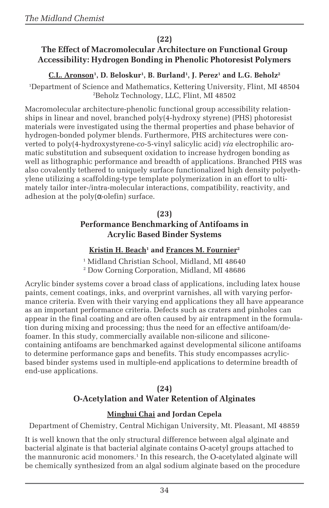#### **(22)**

#### **The Effect of Macromolecular Architecture on Functional Group Accessibility: Hydrogen Bonding in Phenolic Photoresist Polymers**

#### **C.L. Aronson1 , D. Beloskur1 , B. Burland1 , J. Perez1 and L.G. Beholz2**

1 Department of Science and Mathematics, Kettering University, Flint, MI 48504 2 Beholz Technology, LLC, Flint, MI 48502

Macromolecular architecture-phenolic functional group accessibility relationships in linear and novel, branched poly(4-hydroxy styrene) (PHS) photoresist materials were investigated using the thermal properties and phase behavior of hydrogen-bonded polymer blends. Furthermore, PHS architectures were converted to poly(4-hydroxystyrene-*co*-5-vinyl salicylic acid) *via* electrophilic aromatic substitution and subsequent oxidation to increase hydrogen bonding as well as lithographic performance and breadth of applications. Branched PHS was also covalently tethered to uniquely surface functionalized high density polyethylene utilizing a scaffolding-type template polymerization in an effort to ultimately tailor inter-/intra-molecular interactions, compatibility, reactivity, and adhesion at the poly $(\alpha$ -olefin) surface.

#### **(23) Performance Benchmarking of Antifoams in Acrylic Based Binder Systems**

#### <u>Kristin H. Beach</u>1 and <u>Frances M. Fournier</u><sup>2</sup>

1 Midland Christian School, Midland, MI 48640 2 Dow Corning Corporation, Midland, MI 48686

Acrylic binder systems cover a broad class of applications, including latex house paints, cement coatings, inks, and overprint varnishes, all with varying performance criteria. Even with their varying end applications they all have appearance as an important performance criteria. Defects such as craters and pinholes can appear in the final coating and are often caused by air entrapment in the formulation during mixing and processing; thus the need for an effective antifoam/defoamer. In this study, commercially available non-silicone and siliconecontaining antifoams are benchmarked against developmental silicone antifoams to determine performance gaps and benefits. This study encompasses acrylicbased binder systems used in multiple-end applications to determine breadth of end-use applications.

#### **(24)**

#### **O-Acetylation and Water Retention of Alginates**

#### **Minghui Chai and Jordan Cepela**

Department of Chemistry, Central Michigan University, Mt. Pleasant, MI 48859

It is well known that the only structural difference between algal alginate and bacterial alginate is that bacterial alginate contains O-acetyl groups attached to the mannuronic acid monomers.1 In this research, the O-acetylated alginate will be chemically synthesized from an algal sodium alginate based on the procedure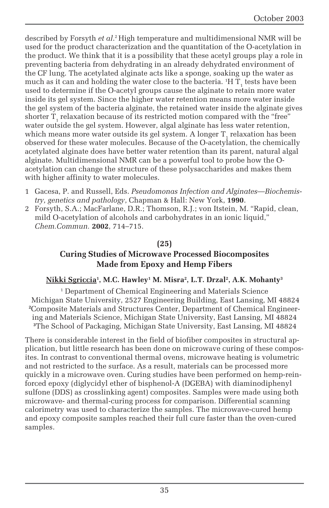described by Forsyth *et al*. 2 High temperature and multidimensional NMR will be used for the product characterization and the quantitation of the O-acetylation in the product. We think that it is a possibility that these acetyl groups play a role in preventing bacteria from dehydrating in an already dehydrated environment of the CF lung. The acetylated alginate acts like a sponge, soaking up the water as much as it can and holding the water close to the bacteria.  $^1\mathrm{H}$  T<sub>1</sub> tests have been used to determine if the O-acetyl groups cause the alginate to retain more water inside its gel system. Since the higher water retention means more water inside the gel system of the bacteria alginate, the retained water inside the alginate gives shorter  $\mathrm{T}_\mathrm{1}$  relaxation because of its restricted motion compared with the "free" water outside the gel system. However, algal alginate has less water retention, which means more water outside its gel system. A longer  $\mathrm{T}_\textrm{i}$  relaxation has been observed for these water molecules. Because of the O-acetylation, the chemically acetylated alginate does have better water retention than its parent, natural algal alginate. Multidimensional NMR can be a powerful tool to probe how the Oacetylation can change the structure of these polysaccharides and makes them with higher affinity to water molecules.

- 1 Gacesa, P. and Russell, Eds. *Pseudomonas Infection and Alginates—Biochemistry, genetics and pathology*, Chapman & Hall: New York, **1990**.
- 2 Forsyth, S.A.; MacFarlane, D.R.; Thomson, R.J.; von Itstein, M. "Rapid, clean, mild O-acetylation of alcohols and carbohydrates in an ionic liquid," *Chem.Commun.* **2002**, 714–715.

#### **(25)**

#### **Curing Studies of Microwave Processed Biocomposites Made from Epoxy and Hemp Fibers**

#### **Nikki Sgriccia1 , M.C. Hawley1 M. Misra2 , L.T. Drzal2 , A.K. Mohanty3**

1 Department of Chemical Engineering and Materials Science Michigan State University, 2527 Engineering Building, East Lansing, MI 48824 **2** Composite Materials and Structures Center, Department of Chemical Engineering and Materials Science, Michigan State University, East Lansing, MI 48824 **<sup>3</sup>**The School of Packaging, Michigan State University, East Lansing, MI 48824

There is considerable interest in the field of biofiber composites in structural application, but little research has been done on microwave curing of these composites. In contrast to conventional thermal ovens, microwave heating is volumetric and not restricted to the surface. As a result, materials can be processed more quickly in a microwave oven. Curing studies have been performed on hemp-reinforced epoxy (diglycidyl ether of bisphenol-A (DGEBA) with diaminodiphenyl sulfone (DDS) as crosslinking agent) composites. Samples were made using both microwave- and thermal-curing process for comparison. Differential scanning calorimetry was used to characterize the samples. The microwave-cured hemp and epoxy composite samples reached their full cure faster than the oven-cured samples.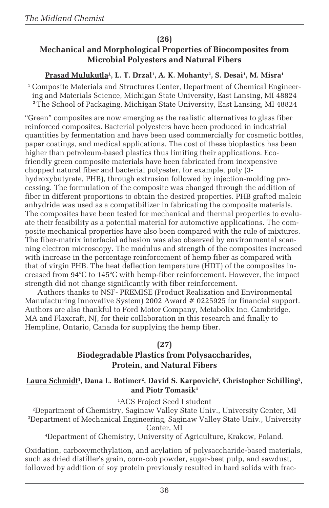#### **(26)**

#### **Mechanical and Morphological Properties of Biocomposites from Microbial Polyesters and Natural Fibers**

#### <u>Prasad Mulukutla<del>'</del>, L. T. Drzal', A. K. Mohanty<sup>2</sup>, S. Desai', M. Misra'</u>

1 Composite Materials and Structures Center, Department of Chemical Engineering and Materials Science, Michigan State University, East Lansing, MI 48824 **<sup>2</sup>**The School of Packaging, Michigan State University, East Lansing, MI 48824

"Green" composites are now emerging as the realistic alternatives to glass fiber reinforced composites. Bacterial polyesters have been produced in industrial quantities by fermentation and have been used commercially for cosmetic bottles, paper coatings, and medical applications. The cost of these bioplastics has been higher than petroleum-based plastics thus limiting their applications. Ecofriendly green composite materials have been fabricated from inexpensive chopped natural fiber and bacterial polyester, for example, poly (3 hydroxybutyrate, PHB), through extrusion followed by injection-molding processing. The formulation of the composite was changed through the addition of fiber in different proportions to obtain the desired properties. PHB grafted maleic anhydride was used as a compatibilizer in fabricating the composite materials. The composites have been tested for mechanical and thermal properties to evaluate their feasibility as a potential material for automotive applications. The composite mechanical properties have also been compared with the rule of mixtures. The fiber-matrix interfacial adhesion was also observed by environmental scanning electron microscopy. The modulus and strength of the composites increased with increase in the percentage reinforcement of hemp fiber as compared with that of virgin PHB. The heat deflection temperature (HDT) of the composites increased from 94°C to 145°C with hemp-fiber reinforcement. However, the impact strength did not change significantly with fiber reinforcement.

Authors thanks to NSF- PREMISE (Product Realization and Environmental Manufacturing Innovative System) 2002 Award # 0225925 for financial support. Authors are also thankful to Ford Motor Company, Metabolix Inc. Cambridge, MA and Flaxcraft, NJ, for their collaboration in this research and finally to Hempline, Ontario, Canada for supplying the hemp fiber.

#### **(27)**

### **Biodegradable Plastics from Polysaccharides, Protein, and Natural Fibers**

 $\frac{\text{Laura Schmidt}}{\text{1}}$ , Dana L. Botimer<sup>2</sup>, David S. Karpovich<sup>2</sup>, Christopher Schilling<sup>3</sup>, **and Piotr Tomasik4**

1 ACS Project Seed I student

2 Department of Chemistry, Saginaw Valley State Univ., University Center, MI 3 Department of Mechanical Engineering, Saginaw Valley State Univ., University Center, MI

4 Department of Chemistry, University of Agriculture, Krakow, Poland.

Oxidation, carboxymethylation, and acylation of polysaccharide-based materials, such as dried distiller's grain, corn-cob powder, sugar-beet pulp, and sawdust, followed by addition of soy protein previously resulted in hard solids with frac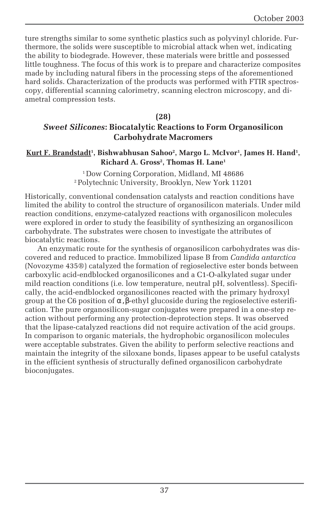ture strengths similar to some synthetic plastics such as polyvinyl chloride. Furthermore, the solids were susceptible to microbial attack when wet, indicating the ability to biodegrade. However, these materials were brittle and possessed little toughness. The focus of this work is to prepare and characterize composites made by including natural fibers in the processing steps of the aforementioned hard solids. Characterization of the products was performed with FTIR spectroscopy, differential scanning calorimetry, scanning electron microscopy, and diametral compression tests.

#### **(28)**

#### *Sweet Silicones***: Biocatalytic Reactions to Form Organosilicon Carbohydrate Macromers**

#### **Kurt F. Brandstadt1 , Bishwabhusan Sahoo2 , Margo L. McIvor1 , James H. Hand1 , Richard A. Gross2 , Thomas H. Lane1**

1 Dow Corning Corporation, Midland, MI 48686 2 Polytechnic University, Brooklyn, New York 11201

Historically, conventional condensation catalysts and reaction conditions have limited the ability to control the structure of organosilicon materials. Under mild reaction conditions, enzyme-catalyzed reactions with organosilicon molecules were explored in order to study the feasibility of synthesizing an organosilicon carbohydrate. The substrates were chosen to investigate the attributes of biocatalytic reactions.

An enzymatic route for the synthesis of organosilicon carbohydrates was discovered and reduced to practice. Immobilized lipase B from *Candida antarctica* (Novozyme 435®) catalyzed the formation of regioselective ester bonds between carboxylic acid-endblocked organosilicones and a C1-O-alkylated sugar under mild reaction conditions (i.e. low temperature, neutral pH, solventless). Specifically, the acid-endblocked organosilicones reacted with the primary hydroxyl group at the C6 position of α,β-ethyl glucoside during the regioselective esterification. The pure organosilicon-sugar conjugates were prepared in a one-step reaction without performing any protection-deprotection steps. It was observed that the lipase-catalyzed reactions did not require activation of the acid groups. In comparison to organic materials, the hydrophobic organosilicon molecules were acceptable substrates. Given the ability to perform selective reactions and maintain the integrity of the siloxane bonds, lipases appear to be useful catalysts in the efficient synthesis of structurally defined organosilicon carbohydrate bioconjugates.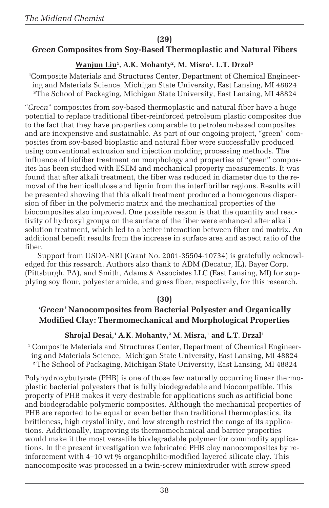#### **(29)**

#### *Green* **Composites from Soy-Based Thermoplastic and Natural Fibers**

#### **Wanjun Liu1 , A.K. Mohanty2 , M. Misra1 , L.T. Drzal1**

**1** Composite Materials and Structures Center, Department of Chemical Engineering and Materials Science, Michigan State University, East Lansing, MI 48824 **<sup>2</sup>**The School of Packaging, Michigan State University, East Lansing, MI 48824

"*Green*" composites from soy-based thermoplastic and natural fiber have a huge potential to replace traditional fiber-reinforced petroleum plastic composites due to the fact that they have properties comparable to petroleum-based composites and are inexpensive and sustainable. As part of our ongoing project, "green" composites from soy-based bioplastic and natural fiber were successfully produced using conventional extrusion and injection molding processing methods. The influence of biofiber treatment on morphology and properties of "green" composites has been studied with ESEM and mechanical property measurements. It was found that after alkali treatment, the fiber was reduced in diameter due to the removal of the hemicellulose and lignin from the interfibrillar regions. Results will be presented showing that this alkali treatment produced a homogenous dispersion of fiber in the polymeric matrix and the mechanical properties of the biocomposites also improved. One possible reason is that the quantity and reactivity of hydroxyl groups on the surface of the fiber were enhanced after alkali solution treatment, which led to a better interaction between fiber and matrix. An additional benefit results from the increase in surface area and aspect ratio of the fiber.

Support from USDA-NRI (Grant No. 2001-35504-10734) is gratefully acknowledged for this research. Authors also thank to ADM (Decatur, IL), Bayer Corp. (Pittsburgh, PA), and Smith, Adams & Associates LLC (East Lansing, MI) for supplying soy flour, polyester amide, and grass fiber, respectively, for this research.

#### **(30)**

#### *'Green'* **Nanocomposites from Bacterial Polyester and Organically Modified Clay: Thermomechanical and Morphological Properties**

#### $\boldsymbol{\mathrm{Shrojal}}$  Desai, $^1$  A.K. Mohanty, $^2$  M. Misra, $^1$  and L.T. Drzal $^1$

1 Composite Materials and Structures Center, Department of Chemical Engineering and Materials Science, Michigan State University, East Lansing, MI 48824 **<sup>2</sup>**The School of Packaging, Michigan State University, East Lansing, MI 48824

Polyhydroxybutyrate (PHB) is one of those few naturally occurring linear thermoplastic bacterial polyesters that is fully biodegradable and biocompatible. This property of PHB makes it very desirable for applications such as artificial bone and biodegradable polymeric composites. Although the mechanical properties of PHB are reported to be equal or even better than traditional thermoplastics, its brittleness, high crystallinity, and low strength restrict the range of its applications. Additionally, improving its thermomechanical and barrier properties would make it the most versatile biodegradable polymer for commodity applications. In the present investigation we fabricated PHB clay nanocomposites by reinforcement with 4–10 wt % organophilic-modified layered silicate clay. This nanocomposite was processed in a twin-screw miniextruder with screw speed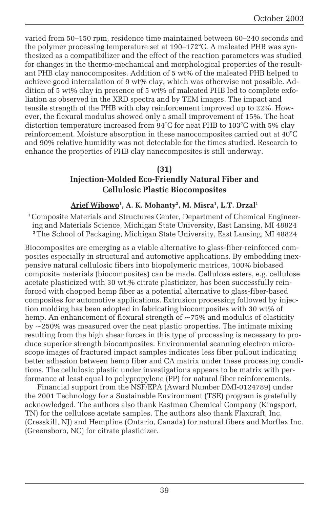varied from 50–150 rpm, residence time maintained between 60–240 seconds and the polymer processing temperature set at 190–172°C. A maleated PHB was synthesized as a compatibilizer and the effect of the reaction parameters was studied for changes in the thermo-mechanical and morphological properties of the resultant PHB clay nanocomposites. Addition of 5 wt% of the maleated PHB helped to achieve good intercalation of 9 wt% clay, which was otherwise not possible. Addition of 5 wt% clay in presence of 5 wt% of maleated PHB led to complete exfoliation as observed in the XRD spectra and by TEM images. The impact and tensile strength of the PHB with clay reinforcement improved up to 22%. However, the flexural modulus showed only a small improvement of 15%. The heat distortion temperature increased from 94°C for neat PHB to 103°C with 5% clay reinforcement. Moisture absorption in these nanocomposites carried out at 40°C and 90% relative humidity was not detectable for the times studied. Research to enhance the properties of PHB clay nanocomposites is still underway.

#### **(31)**

#### **Injection-Molded Eco-Friendly Natural Fiber and Cellulosic Plastic Biocomposites**

#### **Arief Wibowo1 , A. K. Mohanty2 , M. Misra1 , L.T. Drzal1**

1 Composite Materials and Structures Center, Department of Chemical Engineering and Materials Science, Michigan State University, East Lansing, MI 48824 **<sup>2</sup>**The School of Packaging, Michigan State University, East Lansing, MI 48824

Biocomposites are emerging as a viable alternative to glass-fiber-reinforced composites especially in structural and automotive applications. By embedding inexpensive natural cellulosic fibers into biopolymeric matrices, 100% biobased composite materials (biocomposites) can be made. Cellulose esters, e.g. cellulose acetate plasticized with 30 wt.% citrate plasticizer, has been successfully reinforced with chopped hemp fiber as a potential alternative to glass-fiber-based composites for automotive applications. Extrusion processing followed by injection molding has been adopted in fabricating biocomposites with 30 wt% of hemp. An enhancement of flexural strength of  $\sim$ 75% and modulus of elasticity by  $\approx$  250% was measured over the neat plastic properties. The intimate mixing resulting from the high shear forces in this type of processing is necessary to produce superior strength biocomposites. Environmental scanning electron microscope images of fractured impact samples indicates less fiber pullout indicating better adhesion between hemp fiber and CA matrix under these processing conditions. The cellulosic plastic under investigations appears to be matrix with performance at least equal to polypropylene (PP) for natural fiber reinforcements.

Financial support from the NSF/EPA (Award Number DMI-0124789) under the 2001 Technology for a Sustainable Environment (TSE) program is gratefully acknowledged. The authors also thank Eastman Chemical Company (Kingsport, TN) for the cellulose acetate samples. The authors also thank Flaxcraft, Inc. (Cresskill, NJ) and Hempline (Ontario, Canada) for natural fibers and Morflex Inc. (Greensboro, NC) for citrate plasticizer.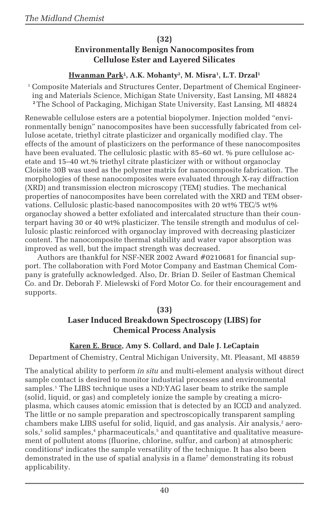#### **(32)**

#### **Environmentally Benign Nanocomposites from Cellulose Ester and Layered Silicates**

#### <u>Hwanman Park<sup>1</sup>, A.K. Mohanty<sup>2</sup>, M. Misra<sup>1</sup>, L.T. Drzal<sup>1</sup></u>

1 Composite Materials and Structures Center, Department of Chemical Engineering and Materials Science, Michigan State University, East Lansing, MI 48824 **<sup>2</sup>**The School of Packaging, Michigan State University, East Lansing, MI 48824

Renewable cellulose esters are a potential biopolymer. Injection molded "environmentally benign" nanocomposites have been successfully fabricated from cellulose acetate, triethyl citrate plasticizer and organically modified clay. The effects of the amount of plasticizers on the performance of these nanocomposites have been evaluated. The cellulosic plastic with 85–60 wt. % pure cellulose acetate and 15–40 wt.% triethyl citrate plasticizer with or without organoclay Cloisite 30B was used as the polymer matrix for nanocomposite fabrication. The morphologies of these nanocomposites were evaluated through X-ray diffraction (XRD) and transmission electron microscopy (TEM) studies. The mechanical properties of nanocomposites have been correlated with the XRD and TEM observations. Cellulosic plastic-based nanocomposites with 20 wt% TEC/5 wt% organoclay showed a better exfoliated and intercalated structure than their counterpart having 30 or 40 wt% plasticizer. The tensile strength and modulus of cellulosic plastic reinforced with organoclay improved with decreasing plasticizer content. The nanocomposite thermal stability and water vapor absorption was improved as well, but the impact strength was decreased.

Authors are thankful for NSF-NER 2002 Award #0210681 for financial support. The collaboration with Ford Motor Company and Eastman Chemical Company is gratefully acknowledged. Also, Dr. Brian D. Seiler of Eastman Chemical Co. and Dr. Deborah F. Mielewski of Ford Motor Co. for their encouragement and supports.

#### **(33)**

#### **Laser Induced Breakdown Spectroscopy (LIBS) for Chemical Process Analysis**

#### **Karen E. Bruce, Amy S. Collard, and Dale J. LeCaptain**

Department of Chemistry, Central Michigan University, Mt. Pleasant, MI 48859

The analytical ability to perform *in situ* and multi-element analysis without direct sample contact is desired to monitor industrial processes and environmental samples.<sup>1</sup> The LIBS technique uses a ND:YAG laser beam to strike the sample (solid, liquid, or gas) and completely ionize the sample by creating a microplasma, which causes atomic emission that is detected by an ICCD and analyzed. The little or no sample preparation and spectroscopically transparent sampling chambers make LIBS useful for solid, liquid, and gas analysis. Air analysis,<sup>2</sup> aero $s$ ols, $^3$  solid samples, $^4$  pharmaceuticals, $^5$  and quantitative and qualitative measurement of pollutent atoms (fluorine, chlorine, sulfur, and carbon) at atmospheric conditions<sup>6</sup> indicates the sample versatility of the technique. It has also been demonstrated in the use of spatial analysis in a flame $^{\prime}$  demonstrating its robust applicability.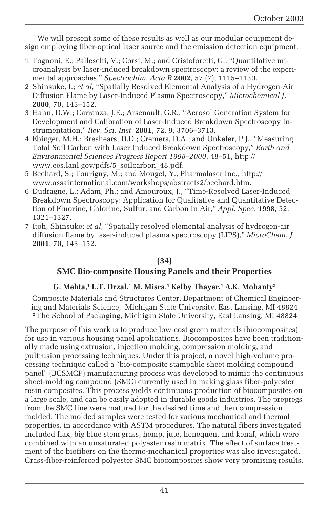We will present some of these results as well as our modular equipment design employing fiber-optical laser source and the emission detection equipment.

- 1 Tognoni, E.; Palleschi, V.; Corsi, M.; and Cristoforetti, G., "Quantitative microanalysis by laser-induced breakdown spectroscopy: a review of the experimental approaches," *Spectrochim. Acta B* **2002**, 57 (7), 1115–1130.
- 2 Shinsuke, I.; *et al*, "Spatially Resolved Elemental Analysis of a Hydrogen-Air Diffusion Flame by Laser-Induced Plasma Spectroscopy," *Microchemical J*. **2000**, 70, 143–152.
- 3 Hahn, D.W.; Carranza, J.E.; Arsenault, G.R., "Aerosol Generation System for Development and Calibration of Laser-Induced Breakdown Spectroscopy Instrumentation," *Rev. Sci. Inst*. **2001**, 72, 9, 3706–3713.
- 4 Ebinger, M.H.; Breshears, D.D.; Cremers, D.A.; and Unkefer, P.J., "Measuring Total Soil Carbon with Laser Induced Breakdown Spectroscopy," *Earth and Environmental Sciences Progress Report 1998–2000*, 48–51, http:// www.ees.lanl.gov/pdfs/5\_soilcarbon\_48.pdf.
- 5 Bechard, S.; Tourigny, M.; and Mouget, Y., Pharmalaser Inc., http:// www.assainternational.com/workshops/abstracts2/bechard.htm.
- 6 Dudragne, L.; Adam, Ph.; and Amouroux, J., "Time-Resolved Laser-Induced Breakdown Spectroscopy: Application for Qualitative and Quantitative Detection of Fluorine, Chlorine, Sulfur, and Carbon in Air," *Appl. Spec*. **1998**, 52, 1321–1327.
- 7 Itoh, Shinsuke; *et al*, "Spatially resolved elemental analysis of hydrogen-air diffusion flame by laser-induced plasma spectroscopy (LIPS)," *MicroChem. J.* **2001**, 70, 143–152.

#### **(34) SMC Bio-composite Housing Panels and their Properties**

#### **G. Mehta,1 L.T. Drzal,1 M. Misra,1 Kelby Thayer,1 A.K. Mohanty2**

1 Composite Materials and Structures Center, Department of Chemical Engineering and Materials Science, Michigan State University, East Lansing, MI 48824 **<sup>2</sup>**The School of Packaging, Michigan State University, East Lansing, MI 48824

The purpose of this work is to produce low-cost green materials (biocomposites) for use in various housing panel applications. Biocomposites have been traditionally made using extrusion, injection molding, compression molding, and pultrusion processing techniques. Under this project, a novel high-volume processing technique called a "bio-composite stampable sheet molding compound panel" (BCSMCP) manufacturing process was developed to mimic the continuous sheet-molding compound (SMC) currently used in making glass fiber-polyester resin composites. This process yields continuous production of biocomposites on a large scale, and can be easily adopted in durable goods industries. The prepregs from the SMC line were matured for the desired time and then compression molded. The molded samples were tested for various mechanical and thermal properties, in accordance with ASTM procedures. The natural fibers investigated included flax, big blue stem grass, hemp, jute, henequen, and kenaf, which were combined with an unsaturated polyester resin matrix. The effect of surface treatment of the biofibers on the thermo-mechanical properties was also investigated. Grass-fiber-reinforced polyester SMC biocomposites show very promising results.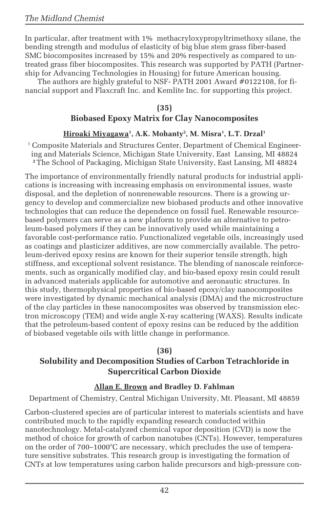In particular, after treatment with 1% methacryloxypropyltrimethoxy silane, the bending strength and modulus of elasticity of big blue stem grass fiber-based SMC biocomposites increased by 15% and 20% respectively as compared to untreated grass fiber biocomposites. This research was supported by PATH (Partnership for Advancing Technologies in Housing) for future American housing.

The authors are highly grateful to NSF- PATH 2001 Award #0122108, for financial support and Flaxcraft Inc. and Kemlite Inc. for supporting this project.

#### **(35) Biobased Epoxy Matrix for Clay Nanocomposites**

#### <u>Hiroaki Miyagawa</u>½, A.K. Mohanty², M. Misra½, L.T. Drzal<sup>1</sup>

1 Composite Materials and Structures Center, Department of Chemical Engineering and Materials Science, Michigan State University, East Lansing, MI 48824 **<sup>2</sup>**The School of Packaging, Michigan State University, East Lansing, MI 48824

The importance of environmentally friendly natural products for industrial applications is increasing with increasing emphasis on environmental issues, waste disposal, and the depletion of nonrenewable resources. There is a growing urgency to develop and commercialize new biobased products and other innovative technologies that can reduce the dependence on fossil fuel. Renewable resourcebased polymers can serve as a new platform to provide an alternative to petroleum-based polymers if they can be innovatively used while maintaining a favorable cost-performance ratio. Functionalized vegetable oils, increasingly used as coatings and plasticizer additives, are now commercially available. The petroleum-derived epoxy resins are known for their superior tensile strength, high stiffness, and exceptional solvent resistance. The blending of nanoscale reinforcements, such as organically modified clay, and bio-based epoxy resin could result in advanced materials applicable for automotive and aeronautic structures. In this study, thermophysical properties of bio-based epoxy/clay nanocomposites were investigated by dynamic mechanical analysis (DMA) and the microstructure of the clay particles in these nanocomposites was observed by transmission electron microscopy (TEM) and wide angle X-ray scattering (WAXS). Results indicate that the petroleum-based content of epoxy resins can be reduced by the addition of biobased vegetable oils with little change in performance.

#### **(36)**

#### **Solubility and Decomposition Studies of Carbon Tetrachloride in Supercritical Carbon Dioxide**

#### **Allan E. Brown and Bradley D. Fahlman**

Department of Chemistry, Central Michigan University, Mt. Pleasant, MI 48859

Carbon-clustered species are of particular interest to materials scientists and have contributed much to the rapidly expanding research conducted within nanotechnology. Metal-catalyzed chemical vapor deposition (CVD) is now the method of choice for growth of carbon nanotubes (CNTs). However, temperatures on the order of 700–1000°C are necessary, which precludes the use of temperature sensitive substrates. This research group is investigating the formation of CNTs at low temperatures using carbon halide precursors and high-pressure con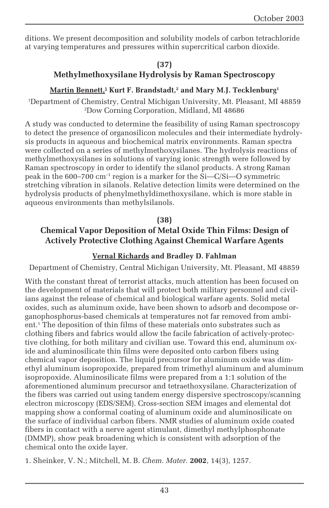ditions. We present decomposition and solubility models of carbon tetrachloride at varying temperatures and pressures within supercritical carbon dioxide.

#### **(37)**

#### **Methylmethoxysilane Hydrolysis by Raman Spectroscopy**

#### $\mathbf{Martin}\ \mathbf{Bennett.}^\mathbf{1}$  Kurt F. Brandstadt, $^{\mathbf{2}}$  and Mary M.J. Tecklenburg $^{\mathbf{1}}$

1 Department of Chemistry, Central Michigan University, Mt. Pleasant, MI 48859 2 Dow Corning Corporation, Midland, MI 48686

A study was conducted to determine the feasibility of using Raman spectroscopy to detect the presence of organosilicon molecules and their intermediate hydrolysis products in aqueous and biochemical matrix environments. Raman spectra were collected on a series of methylmethoxysilanes. The hydrolysis reactions of methylmethoxysilanes in solutions of varying ionic strength were followed by Raman spectroscopy in order to identify the silanol products. A strong Raman peak in the 600–700 cm<sup>-1</sup> region is a marker for the  $\tilde{Si}-C/Si$  symmetric stretching vibration in silanols. Relative detection limits were determined on the hydrolysis products of phenylmethyldimethoxysilane, which is more stable in aqueous environments than methylsilanols.

#### **(38)**

#### **Chemical Vapor Deposition of Metal Oxide Thin Films: Design of Actively Protective Clothing Against Chemical Warfare Agents**

#### **Vernal Richards and Bradley D. Fahlman**

Department of Chemistry, Central Michigan University, Mt. Pleasant, MI 48859

With the constant threat of terrorist attacks, much attention has been focused on the development of materials that will protect both military personnel and civilians against the release of chemical and biological warfare agents. Solid metal oxides, such as aluminum oxide, have been shown to adsorb and decompose organophosphorus-based chemicals at temperatures not far removed from ambient.1 The deposition of thin films of these materials onto substrates such as clothing fibers and fabrics would allow the facile fabrication of actively-protective clothing, for both military and civilian use. Toward this end, aluminum oxide and aluminosilicate thin films were deposited onto carbon fibers using chemical vapor deposition. The liquid precursor for aluminum oxide was dimethyl aluminum isopropoxide, prepared from trimethyl aluminum and aluminum isopropoxide. Aluminosilicate films were prepared from a 1:1 solution of the aforementioned aluminum precursor and tetraethoxysilane. Characterization of the fibers was carried out using tandem energy dispersive spectroscopy/scanning electron microscopy (EDS/SEM). Cross-section SEM images and elemental dot mapping show a conformal coating of aluminum oxide and aluminosilicate on the surface of individual carbon fibers. NMR studies of aluminum oxide coated fibers in contact with a nerve agent stimulant, dimethyl methylphosphonate (DMMP), show peak broadening which is consistent with adsorption of the chemical onto the oxide layer.

1. Sheinker, V. N.; Mitchell, M. B. *Chem. Mater.* **2002**, 14(3), 1257.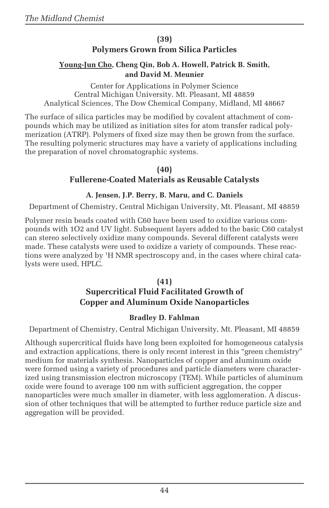#### **(39)**

#### **Polymers Grown from Silica Particles**

#### **Young-Jun Cho, Cheng Qin, Bob A. Howell, Patrick B. Smith, and David M. Meunier**

Center for Applications in Polymer Science Central Michigan University. Mt. Pleasant, MI 48859 Analytical Sciences, The Dow Chemical Company, Midland, MI 48667

The surface of silica particles may be modified by covalent attachment of compounds which may be utilized as initiation sites for atom transfer radical polymerization (ATRP). Polymers of fixed size may then be grown from the surface. The resulting polymeric structures may have a variety of applications including the preparation of novel chromatographic systems.

> **(40) Fullerene-Coated Materials as Reusable Catalysts**

#### **A. Jensen, J.P. Berry, B. Maru, and C. Daniels**

Department of Chemistry, Central Michigan University, Mt. Pleasant, MI 48859

Polymer resin beads coated with C60 have been used to oxidize various compounds with 1O2 and UV light. Subsequent layers added to the basic C60 catalyst can stereo selectively oxidize many compounds. Several different catalysts were made. These catalysts were used to oxidize a variety of compounds. These reactions were analyzed by 1 H NMR spectroscopy and, in the cases where chiral catalysts were used, HPLC.

#### **(41) Supercritical Fluid Facilitated Growth of Copper and Aluminum Oxide Nanoparticles**

#### **Bradley D. Fahlman**

Department of Chemistry, Central Michigan University, Mt. Pleasant, MI 48859

Although supercritical fluids have long been exploited for homogeneous catalysis and extraction applications, there is only recent interest in this "green chemistry" medium for materials synthesis. Nanoparticles of copper and aluminum oxide were formed using a variety of procedures and particle diameters were characterized using transmission electron microscopy (TEM). While particles of aluminum oxide were found to average 100 nm with sufficient aggregation, the copper nanoparticles were much smaller in diameter, with less agglomeration. A discussion of other techniques that will be attempted to further reduce particle size and aggregation will be provided.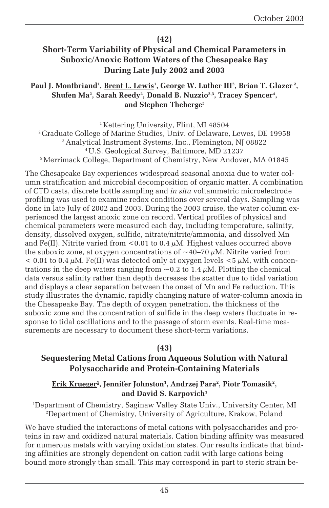#### **(42)**

#### **Short-Term Variability of Physical and Chemical Parameters in Suboxic/Anoxic Bottom Waters of the Chesapeake Bay During Late July 2002 and 2003**

#### Paul J. Montbriand<sup>1</sup>, <u>Brent L. Lewis</u><sup>1</sup>, George W. Luther III<sup>2</sup>, Brian T. Glazer<sup>2</sup>, Shufen Ma<sup>2</sup>, Sarah Reedy<sup>2</sup>, Donald B. Nuzzio<sup>2,3</sup>, Tracey Spencer<sup>4</sup>, **and Stephen Theberge5**

<sup>1</sup> Kettering University, Flint, MI 48504 2 Graduate College of Marine Studies, Univ. of Delaware, Lewes, DE 19958 3 Analytical Instrument Systems, Inc., Flemington, NJ 08822 4 U.S. Geological Survey, Baltimore, MD 21237 5 Merrimack College, Department of Chemistry, New Andover, MA 01845

The Chesapeake Bay experiences widespread seasonal anoxia due to water column stratification and microbial decomposition of organic matter. A combination of CTD casts, discrete bottle sampling and *in situ* voltammetric microelectrode profiling was used to examine redox conditions over several days. Sampling was done in late July of 2002 and 2003. During the 2003 cruise, the water column experienced the largest anoxic zone on record. Vertical profiles of physical and chemical parameters were measured each day, including temperature, salinity, density, dissolved oxygen, sulfide, nitrate/nitrite/ammonia, and dissolved Mn and Fe(II). Nitrite varied from <0.01 to 0.4  $\mu$ M. Highest values occurred above the suboxic zone, at oxygen concentrations of  $\sim$ 40–70  $\mu$ M. Nitrite varied from  $< 0.01$  to 0.4  $\mu$ M. Fe(II) was detected only at oxygen levels  $< 5 \mu$ M, with concentrations in the deep waters ranging from  $\sim$  0.2 to 1.4  $\mu$ M. Plotting the chemical data versus salinity rather than depth decreases the scatter due to tidal variation and displays a clear separation between the onset of Mn and Fe reduction. This study illustrates the dynamic, rapidly changing nature of water-column anoxia in the Chesapeake Bay. The depth of oxygen penetration, the thickness of the suboxic zone and the concentration of sulfide in the deep waters fluctuate in response to tidal oscillations and to the passage of storm events. Real-time measurements are necessary to document these short-term variations.

#### **(43)**

#### **Sequestering Metal Cations from Aqueous Solution with Natural Polysaccharide and Protein-Containing Materials**

#### <u>Erik Krueger<sup>1</sup>, Jennifer Johnston', Andrzej Para<sup>2</sup>, Piotr Tomasik<sup>2</sup>,</u> and David S. Karpovich<sup>1</sup>

1 Department of Chemistry, Saginaw Valley State Univ., University Center, MI 2 Department of Chemistry, University of Agriculture, Krakow, Poland

We have studied the interactions of metal cations with polysaccharides and proteins in raw and oxidized natural materials. Cation binding affinity was measured for numerous metals with varying oxidation states. Our results indicate that binding affinities are strongly dependent on cation radii with large cations being bound more strongly than small. This may correspond in part to steric strain be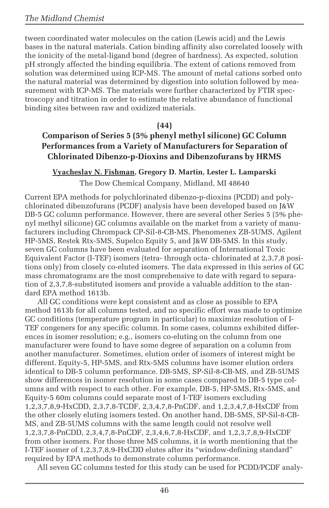tween coordinated water molecules on the cation (Lewis acid) and the Lewis bases in the natural materials. Cation binding affinity also correlated loosely with the ionicity of the metal-ligand bond (degree of hardness). As expected, solution pH strongly affected the binding equilibria. The extent of cations removed from solution was determined using ICP-MS. The amount of metal cations sorbed onto the natural material was determined by digestion into solution followed by measurement with ICP-MS. The materials were further characterized by FTIR spectroscopy and titration in order to estimate the relative abundance of functional binding sites between raw and oxidized materials.

#### **(44)**

#### **Comparison of Series 5 (5% phenyl methyl silicone) GC Column Performances from a Variety of Manufacturers for Separation of Chlorinated Dibenzo-p-Dioxins and Dibenzofurans by HRMS**

#### **Vyacheslav N. Fishman, Gregory D. Martin, Lester L. Lamparski**

The Dow Chemical Company, Midland, MI 48640

Current EPA methods for polychlorinated dibenzo-p-dioxins (PCDD) and polychlorinated dibenzofurans (PCDF) analysis have been developed based on J&W DB-5 GC column performance. However, there are several other Series 5 (5% phenyl methyl silicone) GC columns available on the market from a variety of manufacturers including Chrompack CP-Sil-8-CB-MS, Phenomenex ZB-5UMS, Agilent HP-5MS, Restek Rtx-5MS, Supelco Equity 5, and J&W DB-5MS. In this study, seven GC columns have been evaluated for separation of International Toxic Equivalent Factor (I-TEF) isomers (tetra- through octa- chlorinated at 2,3,7,8 positions only) from closely co-eluted isomers. The data expressed in this series of GC mass chromatograms are the most comprehensive to date with regard to separation of 2,3,7,8-substituted isomers and provide a valuable addition to the standard EPA method 1613b.

All GC conditions were kept consistent and as close as possible to EPA method 1613b for all columns tested, and no specific effort was made to optimize GC conditions (temperature program in particular) to maximize resolution of I-TEF congeners for any specific column. In some cases, columns exhibited differences in isomer resolution; e.g., isomers co-eluting on the column from one manufacturer were found to have some degree of separation on a column from another manufacturer. Sometimes, elution order of isomers of interest might be different. Equity-5, HP-5MS, and Rtx-5MS columns have isomer elution orders identical to DB-5 column performance. DB-5MS, SP-Sil-8-CB-MS, and ZB-5UMS show differences in isomer resolution in some cases compared to DB-5 type columns and with respect to each other. For example, DB-5, HP-5MS, Rtx-5MS, and Equity-5 60m columns could separate most of I-TEF isomers excluding 1,2,3,7,8,9-HxCDD, 2,3,7,8-TCDF, 2,3,4,7,8-PnCDF, and 1,2,3,4,7,8-HxCDF from the other closely eluting isomers tested. On another hand, DB-5MS, SP-Sil-8-CB-MS, and ZB-5UMS columns with the same length could not resolve well 1,2,3,7,8-PnCDD, 2,3,4,7,8-PnCDF, 2,3,4,6,7,8-HxCDF, and 1,2,3,7,8,9-HxCDF from other isomers. For those three MS columns, it is worth mentioning that the I-TEF isomer of 1,2,3,7,8,9-HxCDD elutes after its "window-defining standard" required by EPA methods to demonstrate column performance.

All seven GC columns tested for this study can be used for PCDD/PCDF analy-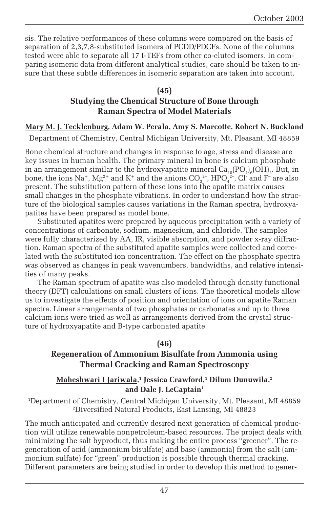sis. The relative performances of these columns were compared on the basis of separation of 2,3,7,8-substituted isomers of PCDD/PDCFs. None of the columns tested were able to separate all 17 I-TEFs from other co-eluted isomers. In comparing isomeric data from different analytical studies, care should be taken to insure that these subtle differences in isomeric separation are taken into account.

#### **(45) Studying the Chemical Structure of Bone through Raman Spectra of Model Materials**

#### **Mary M. J. Tecklenburg, Adam W. Perala, Amy S. Marcotte, Robert N. Buckland**

Department of Chemistry, Central Michigan University, Mt. Pleasant, MI 48859

Bone chemical structure and changes in response to age, stress and disease are key issues in human health. The primary mineral in bone is calcium phosphate in an arrangement similar to the hydroxyapatite mineral  $\rm Ca_{10}(PO_4)_6(OH)_2$ . But, in bone, the ions Na $^+$ , Mg $^{2+}$  and K $^+$  and the anions CO $_3^{2-}$ , HPO $_4^{2-}$ , Cl $\,$  and F $\,^{\!-}$  are also present. The substitution pattern of these ions into the apatite matrix causes small changes in the phosphate vibrations. In order to understand how the structure of the biological samples causes variations in the Raman spectra, hydroxyapatites have been prepared as model bone.

Substituted apatites were prepared by aqueous precipitation with a variety of concentrations of carbonate, sodium, magnesium, and chloride. The samples were fully characterized by AA, IR, visible absorption, and powder x-ray diffraction. Raman spectra of the substituted apatite samples were collected and correlated with the substituted ion concentration. The effect on the phosphate spectra was observed as changes in peak wavenumbers, bandwidths, and relative intensities of many peaks.

The Raman spectrum of apatite was also modeled through density functional theory (DFT) calculations on small clusters of ions. The theoretical models allow us to investigate the effects of position and orientation of ions on apatite Raman spectra. Linear arrangements of two phosphates or carbonates and up to three calcium ions were tried as well as arrangements derived from the crystal structure of hydroxyapatite and B-type carbonated apatite.

#### **(46)**

#### **Regeneration of Ammonium Bisulfate from Ammonia using Thermal Cracking and Raman Spectroscopy**

#### **Maheshwari I Jariwala,1 Jessica Crawford,1 Dilum Dunuwila,2** and Dale J. LeCaptain<sup>1</sup>

1 Department of Chemistry, Central Michigan University, Mt. Pleasant, MI 48859 2 Diversified Natural Products, East Lansing, MI 48823

The much anticipated and currently desired next generation of chemical production will utilize renewable nonpetroleum-based resources. The project deals with minimizing the salt byproduct, thus making the entire process "greener". The regeneration of acid (ammonium bisulfate) and base (ammonia) from the salt (ammonium sulfate) for "green" production is possible through thermal cracking. Different parameters are being studied in order to develop this method to gener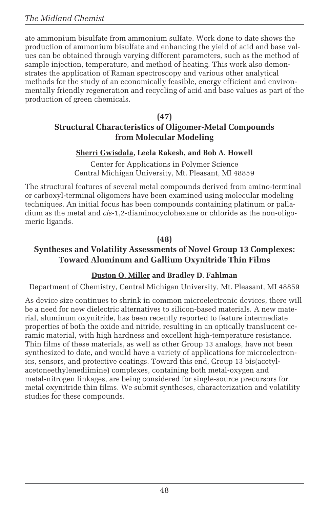ate ammonium bisulfate from ammonium sulfate. Work done to date shows the production of ammonium bisulfate and enhancing the yield of acid and base values can be obtained through varying different parameters, such as the method of sample injection, temperature, and method of heating. This work also demonstrates the application of Raman spectroscopy and various other analytical methods for the study of an economically feasible, energy efficient and environmentally friendly regeneration and recycling of acid and base values as part of the production of green chemicals.

#### **(47) Structural Characteristics of Oligomer-Metal Compounds from Molecular Modeling**

#### **Sherri Gwisdala, Leela Rakesh, and Bob A. Howell**

Center for Applications in Polymer Science Central Michigan University, Mt. Pleasant, MI 48859

The structural features of several metal compounds derived from amino-terminal or carboxyl-terminal oligomers have been examined using molecular modeling techniques. An initial focus has been compounds containing platinum or palladium as the metal and *cis*-1,2-diaminocyclohexane or chloride as the non-oligomeric ligands.

#### **(48)**

### **Syntheses and Volatility Assessments of Novel Group 13 Complexes: Toward Aluminum and Gallium Oxynitride Thin Films**

#### **Duston O. Miller and Bradley D. Fahlman**

Department of Chemistry, Central Michigan University, Mt. Pleasant, MI 48859

As device size continues to shrink in common microelectronic devices, there will be a need for new dielectric alternatives to silicon-based materials. A new material, aluminum oxynitride, has been recently reported to feature intermediate properties of both the oxide and nitride, resulting in an optically translucent ceramic material, with high hardness and excellent high-temperature resistance. Thin films of these materials, as well as other Group 13 analogs, have not been synthesized to date, and would have a variety of applications for microelectronics, sensors, and protective coatings. Toward this end, Group 13 bis(acetylacetoneethylenediimine) complexes, containing both metal-oxygen and metal-nitrogen linkages, are being considered for single-source precursors for metal oxynitride thin films. We submit syntheses, characterization and volatility studies for these compounds.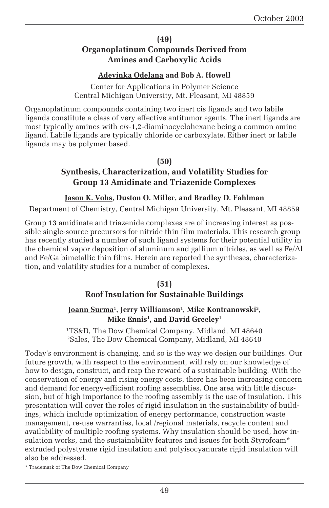#### **(49)**

#### **Organoplatinum Compounds Derived from Amines and Carboxylic Acids**

#### **Adeyinka Odelana and Bob A. Howell**

Center for Applications in Polymer Science Central Michigan University, Mt. Pleasant, MI 48859

Organoplatinum compounds containing two inert cis ligands and two labile ligands constitute a class of very effective antitumor agents. The inert ligands are most typically amines with *cis*-1,2-diaminocyclohexane being a common amine ligand. Labile ligands are typically chloride or carboxylate. Either inert or labile ligands may be polymer based.

#### **(50)**

#### **Synthesis, Characterization, and Volatility Studies for Group 13 Amidinate and Triazenide Complexes**

#### **Jason K. Vohs, Duston O. Miller, and Bradley D. Fahlman**

Department of Chemistry, Central Michigan University, Mt. Pleasant, MI 48859

Group 13 amidinate and triazenide complexes are of increasing interest as possible single-source precursors for nitride thin film materials. This research group has recently studied a number of such ligand systems for their potential utility in the chemical vapor deposition of aluminum and gallium nitrides, as well as Fe/Al and Fe/Ga bimetallic thin films. Herein are reported the syntheses, characterization, and volatility studies for a number of complexes.

#### **(51)**

#### **Roof Insulation for Sustainable Buildings**

#### <u>Joann Surma</u><sup>1</sup>, Jerry Williamson<sup>1</sup>, Mike Kontranowski<sup>2</sup>, **Mike Ennis1 , and David Greeley1**

1 TS&D, The Dow Chemical Company, Midland, MI 48640 2 Sales, The Dow Chemical Company, Midland, MI 48640

Today's environment is changing, and so is the way we design our buildings. Our future growth, with respect to the environment, will rely on our knowledge of how to design, construct, and reap the reward of a sustainable building. With the conservation of energy and rising energy costs, there has been increasing concern and demand for energy-efficient roofing assemblies. One area with little discussion, but of high importance to the roofing assembly is the use of insulation. This presentation will cover the roles of rigid insulation in the sustainability of buildings, which include optimization of energy performance, construction waste management, re-use warranties, local /regional materials, recycle content and availability of multiple roofing systems. Why insulation should be used, how insulation works, and the sustainability features and issues for both Styrofoam<sup>\*</sup> extruded polystyrene rigid insulation and polyisocyanurate rigid insulation will also be addressed.

\* Trademark of The Dow Chemical Company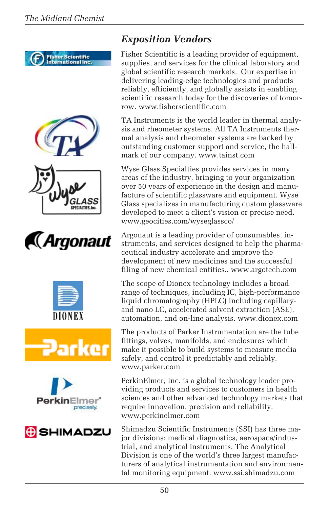















### *Exposition Vendors*

Fisher Scientific is a leading provider of equipment, supplies, and services for the clinical laboratory and global scientific research markets. Our expertise in delivering leading-edge technologies and products reliably, efficiently, and globally assists in enabling scientific research today for the discoveries of tomorrow. www.fisherscientific.com

TA Instruments is the world leader in thermal analysis and rheometer systems. All TA Instruments thermal analysis and rheometer systems are backed by outstanding customer support and service, the hallmark of our company. www.tainst.com

Wyse Glass Specialties provides services in many areas of the industry, bringing to your organization over 50 years of experience in the design and manufacture of scientific glassware and equipment. Wyse Glass specializes in manufacturing custom glassware developed to meet a client's vision or precise need. www.geocities.com/wyseglassco/

Argonaut is a leading provider of consumables, instruments, and services designed to help the pharmaceutical industry accelerate and improve the development of new medicines and the successful filing of new chemical entities.. www.argotech.com

The scope of Dionex technology includes a broad range of techniques, including IC, high-performance liquid chromatography (HPLC) including capillaryand nano LC, accelerated solvent extraction (ASE), automation, and on-line analysis. www.dionex.com

The products of Parker Instrumentation are the tube fittings, valves, manifolds, and enclosures which make it possible to build systems to measure media safely, and control it predictably and reliably. www.parker.com

PerkinElmer, Inc. is a global technology leader providing products and services to customers in health sciences and other advanced technology markets that require innovation, precision and reliability. www.perkinelmer.com

Shimadzu Scientific Instruments (SSI) has three major divisions: medical diagnostics, aerospace/industrial, and analytical instruments. The Analytical Division is one of the world's three largest manufacturers of analytical instrumentation and environmental monitoring equipment. www.ssi.shimadzu.com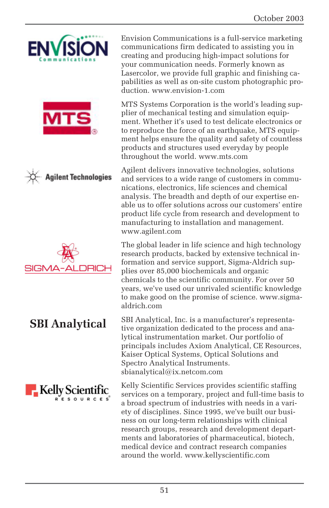







### **SBI Analytical**



Envision Communications is a full-service marketing communications firm dedicated to assisting you in creating and producing high-impact solutions for your communication needs. Formerly known as Lasercolor, we provide full graphic and finishing capabilities as well as on-site custom photographic production. www.envision-1.com

MTS Systems Corporation is the world's leading supplier of mechanical testing and simulation equipment. Whether it's used to test delicate electronics or to reproduce the force of an earthquake, MTS equipment helps ensure the quality and safety of countless products and structures used everyday by people throughout the world. www.mts.com

Agilent delivers innovative technologies, solutions and services to a wide range of customers in communications, electronics, life sciences and chemical analysis. The breadth and depth of our expertise enable us to offer solutions across our customers' entire product life cycle from research and development to manufacturing to installation and management. www.agilent.com

The global leader in life science and high technology research products, backed by extensive technical information and service support, Sigma-Aldrich supplies over 85,000 biochemicals and organic chemicals to the scientific community. For over 50 years, we've used our unrivaled scientific knowledge to make good on the promise of science. www.sigmaaldrich.com

SBI Analytical, Inc. is a manufacturer's representative organization dedicated to the process and analytical instrumentation market. Our portfolio of principals includes Axiom Analytical, CE Resources, Kaiser Optical Systems, Optical Solutions and Spectro Analytical Instruments. sbianalytical@ix.netcom.com

Kelly Scientific Services provides scientific staffing services on a temporary, project and full-time basis to a broad spectrum of industries with needs in a variety of disciplines. Since 1995, we've built our business on our long-term relationships with clinical research groups, research and development departments and laboratories of pharmaceutical, biotech, medical device and contract research companies around the world. www.kellyscientific.com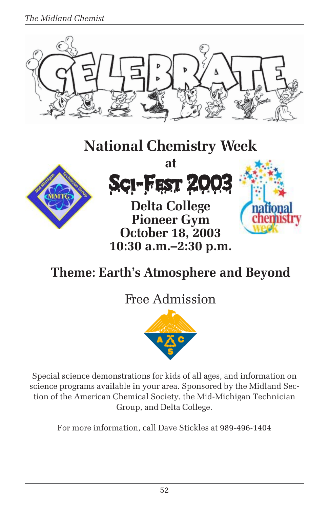*The Midland Chemist*



# **National Chemistry Week**





**Delta College Pioneer Gym October 18, 2003 10:30 a.m.–2:30 p.m.**



# **Theme: Earth's Atmosphere and Beyond**

# Free Admission



Special science demonstrations for kids of all ages, and information on science programs available in your area. Sponsored by the Midland Section of the American Chemical Society, the Mid-Michigan Technician Group, and Delta College.

For more information, call Dave Stickles at 989-496-1404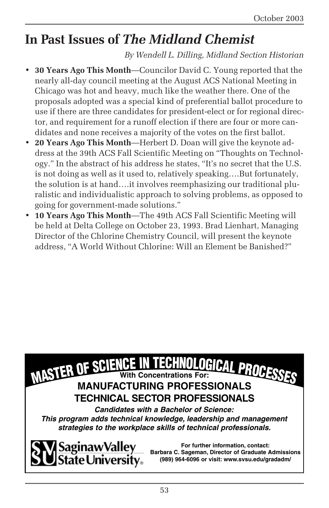# **In Past Issues of** *The Midland Chemist*

#### *By Wendell L. Dilling, Midland Section Historian*

- **30 Years Ago This Month**—Councilor David C. Young reported that the nearly all-day council meeting at the August ACS National Meeting in Chicago was hot and heavy, much like the weather there. One of the proposals adopted was a special kind of preferential ballot procedure to use if there are three candidates for president-elect or for regional director, and requirement for a runoff election if there are four or more candidates and none receives a majority of the votes on the first ballot.
- **20 Years Ago This Month**—Herbert D. Doan will give the keynote address at the 39th ACS Fall Scientific Meeting on "Thoughts on Technology." In the abstract of his address he states, "It's no secret that the U.S. is not doing as well as it used to, relatively speaking….But fortunately, the solution is at hand….it involves reemphasizing our traditional pluralistic and individualistic approach to solving problems, as opposed to going for government-made solutions."
- **10 Years Ago This Month**—The 49th ACS Fall Scientific Meeting will be held at Delta College on October 23, 1993. Brad Lienhart, Managing Director of the Chlorine Chemistry Council, will present the keynote address, "A World Without Chlorine: Will an Element be Banished?"





**For further information, contact: Barbara C. Sageman, Director of Graduate Admissions (989) 964-6096 or visit: www.svsu.edu/gradadm/**